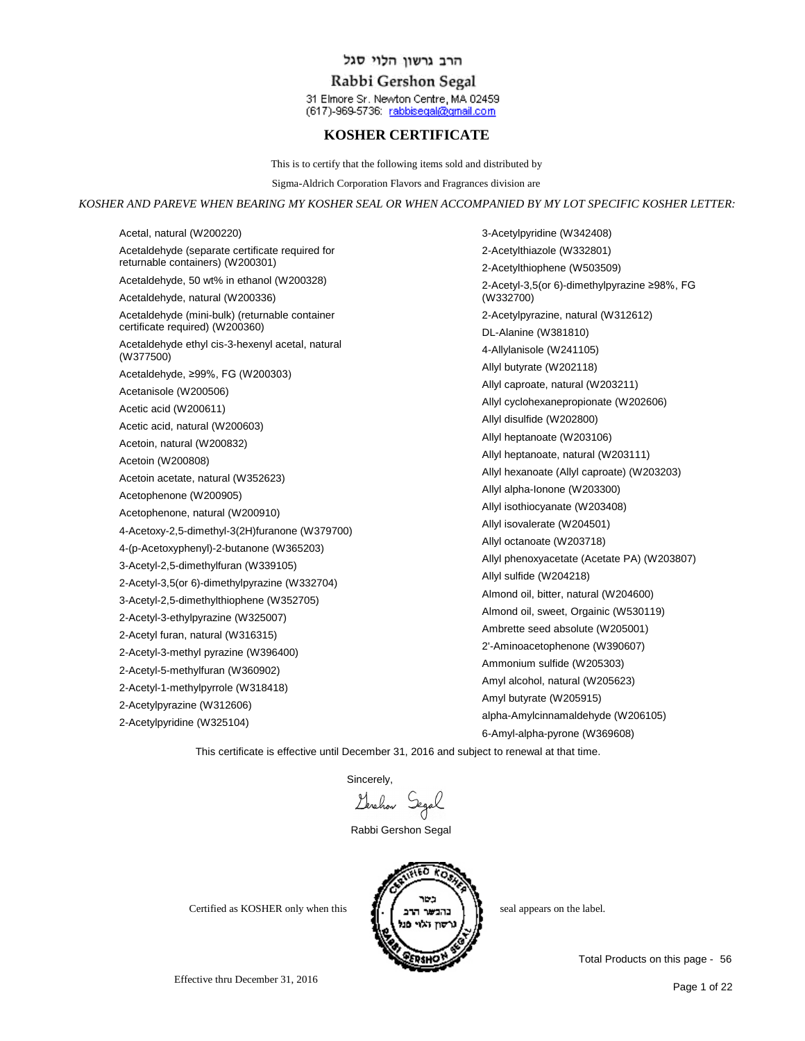## Rabbi Gershon Segal

31 Elmore Sr. Newton Centre, MA 02459 (617)-969-5736: rabbisegal@gmail.com

### **KOSHER CERTIFICATE**

This is to certify that the following items sold and distributed by

Sigma-Aldrich Corporation Flavors and Fragrances division are

#### *KOSHER AND PAREVE WHEN BEARING MY KOSHER SEAL OR WHEN ACCOMPANIED BY MY LOT SPECIFIC KOSHER LETTER:*

Acetal, natural (W200220) Acetaldehyde (separate certificate required for returnable containers) (W200301) Acetaldehyde, 50 wt% in ethanol (W200328) Acetaldehyde, natural (W200336) Acetaldehyde (mini-bulk) (returnable container certificate required) (W200360) Acetaldehyde ethyl cis-3-hexenyl acetal, natural (W377500) Acetaldehyde, ≥99%, FG (W200303) Acetanisole (W200506) Acetic acid (W200611) Acetic acid, natural (W200603) Acetoin, natural (W200832) Acetoin (W200808) Acetoin acetate, natural (W352623) Acetophenone (W200905) Acetophenone, natural (W200910) 4-Acetoxy-2,5-dimethyl-3(2H)furanone (W379700) 4-(p-Acetoxyphenyl)-2-butanone (W365203) 3-Acetyl-2,5-dimethylfuran (W339105) 2-Acetyl-3,5(or 6)-dimethylpyrazine (W332704) 3-Acetyl-2,5-dimethylthiophene (W352705) 2-Acetyl-3-ethylpyrazine (W325007) 2-Acetyl furan, natural (W316315) 2-Acetyl-3-methyl pyrazine (W396400) 2-Acetyl-5-methylfuran (W360902) 2-Acetyl-1-methylpyrrole (W318418) 2-Acetylpyrazine (W312606) 2-Acetylpyridine (W325104)

3-Acetylpyridine (W342408) 2-Acetylthiazole (W332801) 2-Acetylthiophene (W503509) 2-Acetyl-3,5(or 6)-dimethylpyrazine ≥98%, FG (W332700) 2-Acetylpyrazine, natural (W312612) DL-Alanine (W381810) 4-Allylanisole (W241105) Allyl butyrate (W202118) Allyl caproate, natural (W203211) Allyl cyclohexanepropionate (W202606) Allyl disulfide (W202800) Allyl heptanoate (W203106) Allyl heptanoate, natural (W203111) Allyl hexanoate (Allyl caproate) (W203203) Allyl alpha-Ionone (W203300) Allyl isothiocyanate (W203408) Allyl isovalerate (W204501) Allyl octanoate (W203718) Allyl phenoxyacetate (Acetate PA) (W203807) Allyl sulfide (W204218) Almond oil, bitter, natural (W204600) Almond oil, sweet, Orgainic (W530119) Ambrette seed absolute (W205001) 2'-Aminoacetophenone (W390607) Ammonium sulfide (W205303) Amyl alcohol, natural (W205623) Amyl butyrate (W205915) alpha-Amylcinnamaldehyde (W206105) 6-Amyl-alpha-pyrone (W369608)

This certificate is effective until December 31, 2016 and subject to renewal at that time.

Sincerely,

Lerchon Segal

Rabbi Gershon Segal



Certified as KOSHER only when this  $\left\{ \left( \begin{array}{cc} 1 & 1 \end{array} \right)$  seal appears on the label.

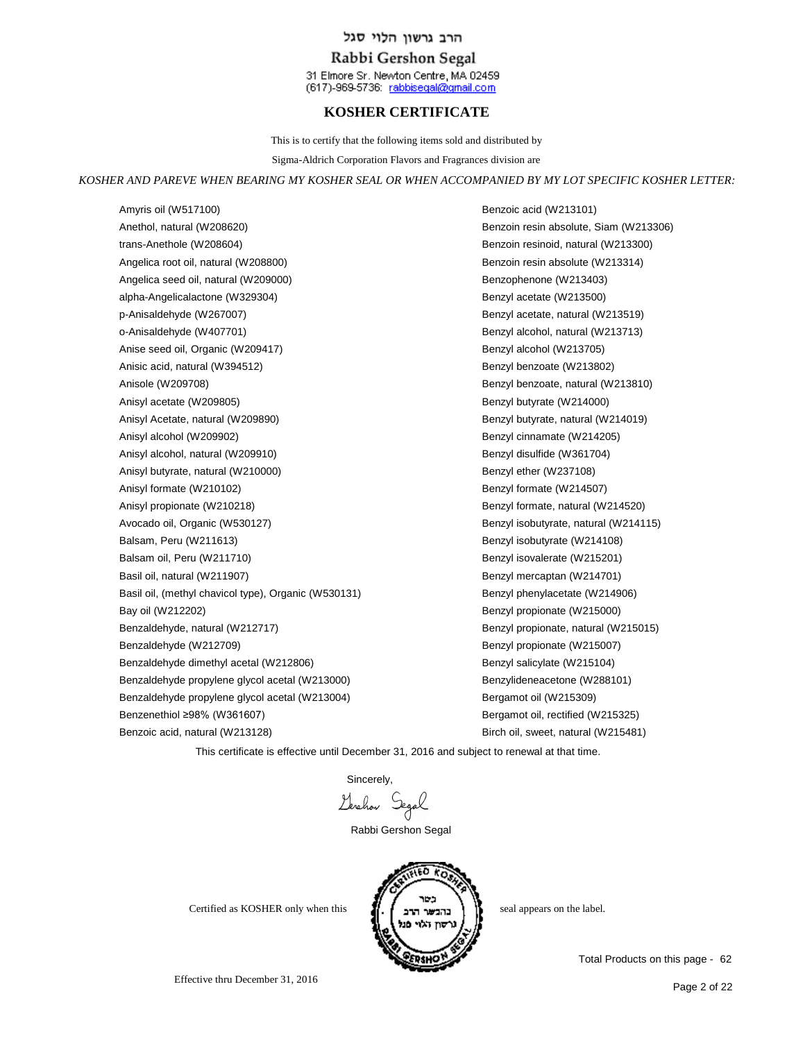### Rabbi Gershon Segal

31 Elmore Sr. Newton Centre, MA 02459 (617)-969-5736: rabbisegal@gmail.com

## **KOSHER CERTIFICATE**

This is to certify that the following items sold and distributed by

Sigma-Aldrich Corporation Flavors and Fragrances division are

#### *KOSHER AND PAREVE WHEN BEARING MY KOSHER SEAL OR WHEN ACCOMPANIED BY MY LOT SPECIFIC KOSHER LETTER:*

Amyris oil (W517100) Anethol, natural (W208620) trans-Anethole (W208604) Angelica root oil, natural (W208800) Angelica seed oil, natural (W209000) alpha-Angelicalactone (W329304) p-Anisaldehyde (W267007) o-Anisaldehyde (W407701) Anise seed oil, Organic (W209417) Anisic acid, natural (W394512) Anisole (W209708) Anisyl acetate (W209805) Anisyl Acetate, natural (W209890) Anisyl alcohol (W209902) Anisyl alcohol, natural (W209910) Anisyl butyrate, natural (W210000) Anisyl formate (W210102) Anisyl propionate (W210218) Avocado oil, Organic (W530127) Balsam, Peru (W211613) Balsam oil, Peru (W211710) Basil oil, natural (W211907) Basil oil, (methyl chavicol type), Organic (W530131) Bay oil (W212202) Benzaldehyde, natural (W212717) Benzaldehyde (W212709) Benzaldehyde dimethyl acetal (W212806) Benzaldehyde propylene glycol acetal (W213000) Benzaldehyde propylene glycol acetal (W213004) Benzenethiol ≥98% (W361607) Benzoic acid, natural (W213128)

Benzoic acid (W213101) Benzoin resin absolute, Siam (W213306) Benzoin resinoid, natural (W213300) Benzoin resin absolute (W213314) Benzophenone (W213403) Benzyl acetate (W213500) Benzyl acetate, natural (W213519) Benzyl alcohol, natural (W213713) Benzyl alcohol (W213705) Benzyl benzoate (W213802) Benzyl benzoate, natural (W213810) Benzyl butyrate (W214000) Benzyl butyrate, natural (W214019) Benzyl cinnamate (W214205) Benzyl disulfide (W361704) Benzyl ether (W237108) Benzyl formate (W214507) Benzyl formate, natural (W214520) Benzyl isobutyrate, natural (W214115) Benzyl isobutyrate (W214108) Benzyl isovalerate (W215201) Benzyl mercaptan (W214701) Benzyl phenylacetate (W214906) Benzyl propionate (W215000) Benzyl propionate, natural (W215015) Benzyl propionate (W215007) Benzyl salicylate (W215104) Benzylideneacetone (W288101) Bergamot oil (W215309) Bergamot oil, rectified (W215325) Birch oil, sweet, natural (W215481)

This certificate is effective until December 31, 2016 and subject to renewal at that time.

Sincerely,<br>Levehow Segal

Rabbi Gershon Segal



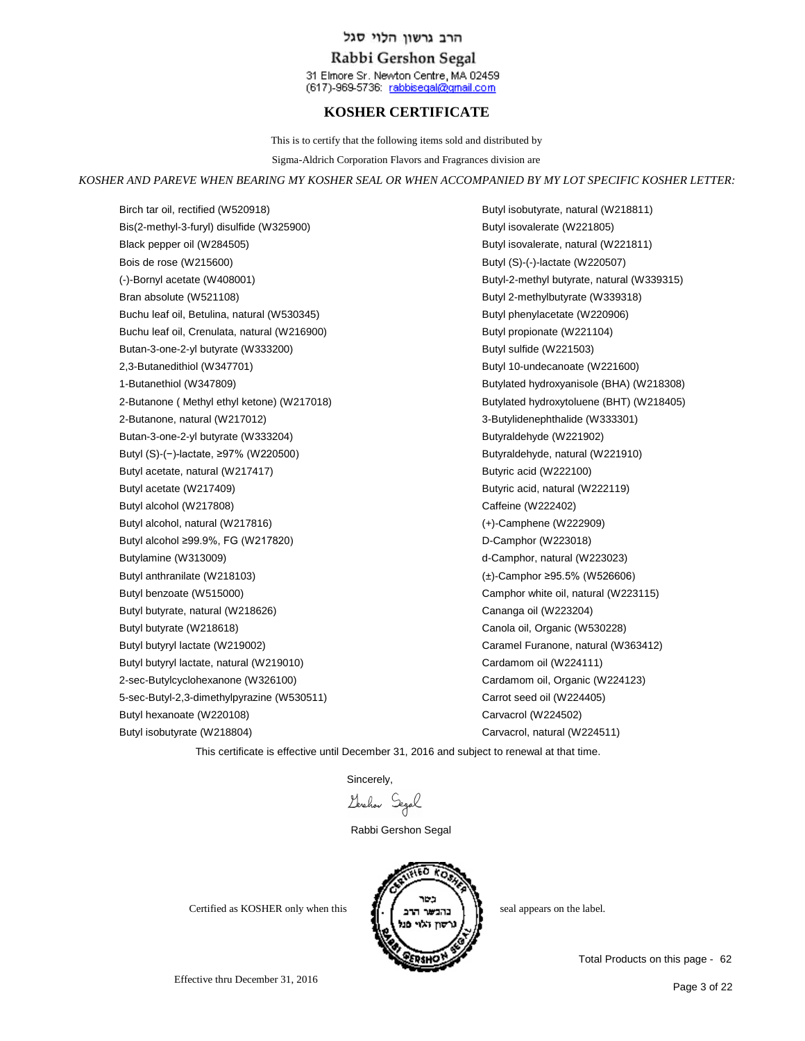## Rabbi Gershon Segal

31 Elmore Sr. Newton Centre, MA 02459 (617)-969-5736: rabbisegal@gmail.com

# **KOSHER CERTIFICATE**

This is to certify that the following items sold and distributed by

Sigma-Aldrich Corporation Flavors and Fragrances division are

#### *KOSHER AND PAREVE WHEN BEARING MY KOSHER SEAL OR WHEN ACCOMPANIED BY MY LOT SPECIFIC KOSHER LETTER:*

Birch tar oil, rectified (W520918) Bis(2-methyl-3-furyl) disulfide (W325900) Black pepper oil (W284505) Bois de rose (W215600) (-)-Bornyl acetate (W408001) Bran absolute (W521108) Buchu leaf oil, Betulina, natural (W530345) Buchu leaf oil, Crenulata, natural (W216900) Butan-3-one-2-yl butyrate (W333200) 2,3-Butanedithiol (W347701) 1-Butanethiol (W347809) 2-Butanone ( Methyl ethyl ketone) (W217018) 2-Butanone, natural (W217012) Butan-3-one-2-yl butyrate (W333204) Butyl (S)-(−)-lactate, ≥97% (W220500) Butyl acetate, natural (W217417) Butyl acetate (W217409) Butyl alcohol (W217808) Butyl alcohol, natural (W217816) Butyl alcohol ≥99.9%, FG (W217820) Butylamine (W313009) Butyl anthranilate (W218103) Butyl benzoate (W515000) Butyl butyrate, natural (W218626) Butyl butyrate (W218618) Butyl butyryl lactate (W219002) Butyl butyryl lactate, natural (W219010) 2-sec-Butylcyclohexanone (W326100) 5-sec-Butyl-2,3-dimethylpyrazine (W530511) Butyl hexanoate (W220108) Butyl isobutyrate (W218804)

Butyl isobutyrate, natural (W218811) Butyl isovalerate (W221805) Butyl isovalerate, natural (W221811) Butyl (S)-(-)-lactate (W220507) Butyl-2-methyl butyrate, natural (W339315) Butyl 2-methylbutyrate (W339318) Butyl phenylacetate (W220906) Butyl propionate (W221104) Butyl sulfide (W221503) Butyl 10-undecanoate (W221600) Butylated hydroxyanisole (BHA) (W218308) Butylated hydroxytoluene (BHT) (W218405) 3-Butylidenephthalide (W333301) Butyraldehyde (W221902) Butyraldehyde, natural (W221910) Butyric acid (W222100) Butyric acid, natural (W222119) Caffeine (W222402) (+)-Camphene (W222909) D-Camphor (W223018) d-Camphor, natural (W223023) (±)-Camphor ≥95.5% (W526606) Camphor white oil, natural (W223115) Cananga oil (W223204) Canola oil, Organic (W530228) Caramel Furanone, natural (W363412) Cardamom oil (W224111) Cardamom oil, Organic (W224123) Carrot seed oil (W224405) Carvacrol (W224502) Carvacrol, natural (W224511)

This certificate is effective until December 31, 2016 and subject to renewal at that time.

Sincerely,

Lerchon Segal

Rabbi Gershon Segal



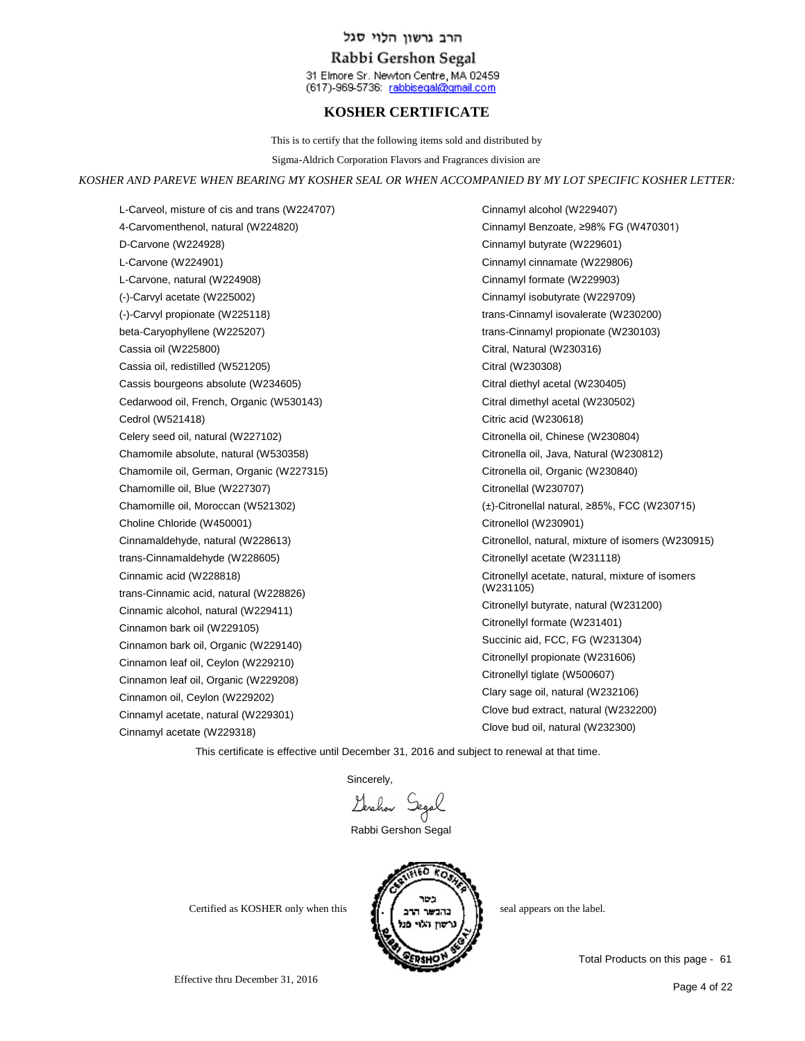### Rabbi Gershon Segal

31 Elmore Sr. Newton Centre, MA 02459 (617)-969-5736: rabbisegal@gmail.com

## **KOSHER CERTIFICATE**

This is to certify that the following items sold and distributed by

Sigma-Aldrich Corporation Flavors and Fragrances division are

#### *KOSHER AND PAREVE WHEN BEARING MY KOSHER SEAL OR WHEN ACCOMPANIED BY MY LOT SPECIFIC KOSHER LETTER:*

L-Carveol, misture of cis and trans (W224707) 4-Carvomenthenol, natural (W224820) D-Carvone (W224928) L-Carvone (W224901) L-Carvone, natural (W224908) (-)-Carvyl acetate (W225002) (-)-Carvyl propionate (W225118) beta-Caryophyllene (W225207) Cassia oil (W225800) Cassia oil, redistilled (W521205) Cassis bourgeons absolute (W234605) Cedarwood oil, French, Organic (W530143) Cedrol (W521418) Celery seed oil, natural (W227102) Chamomile absolute, natural (W530358) Chamomile oil, German, Organic (W227315) Chamomille oil, Blue (W227307) Chamomille oil, Moroccan (W521302) Choline Chloride (W450001) Cinnamaldehyde, natural (W228613) trans-Cinnamaldehyde (W228605) Cinnamic acid (W228818) trans-Cinnamic acid, natural (W228826) Cinnamic alcohol, natural (W229411) Cinnamon bark oil (W229105) Cinnamon bark oil, Organic (W229140) Cinnamon leaf oil, Ceylon (W229210) Cinnamon leaf oil, Organic (W229208) Cinnamon oil, Ceylon (W229202) Cinnamyl acetate, natural (W229301) Cinnamyl acetate (W229318)

Cinnamyl alcohol (W229407) Cinnamyl Benzoate, ≥98% FG (W470301) Cinnamyl butyrate (W229601) Cinnamyl cinnamate (W229806) Cinnamyl formate (W229903) Cinnamyl isobutyrate (W229709) trans-Cinnamyl isovalerate (W230200) trans-Cinnamyl propionate (W230103) Citral, Natural (W230316) Citral (W230308) Citral diethyl acetal (W230405) Citral dimethyl acetal (W230502) Citric acid (W230618) Citronella oil, Chinese (W230804) Citronella oil, Java, Natural (W230812) Citronella oil, Organic (W230840) Citronellal (W230707) (±)-Citronellal natural, ≥85%, FCC (W230715) Citronellol (W230901) Citronellol, natural, mixture of isomers (W230915) Citronellyl acetate (W231118) Citronellyl acetate, natural, mixture of isomers (W231105) Citronellyl butyrate, natural (W231200) Citronellyl formate (W231401) Succinic aid, FCC, FG (W231304) Citronellyl propionate (W231606) Citronellyl tiglate (W500607) Clary sage oil, natural (W232106) Clove bud extract, natural (W232200) Clove bud oil, natural (W232300)

This certificate is effective until December 31, 2016 and subject to renewal at that time.

Sincerely,

Gerchan Segal

Rabbi Gershon Segal

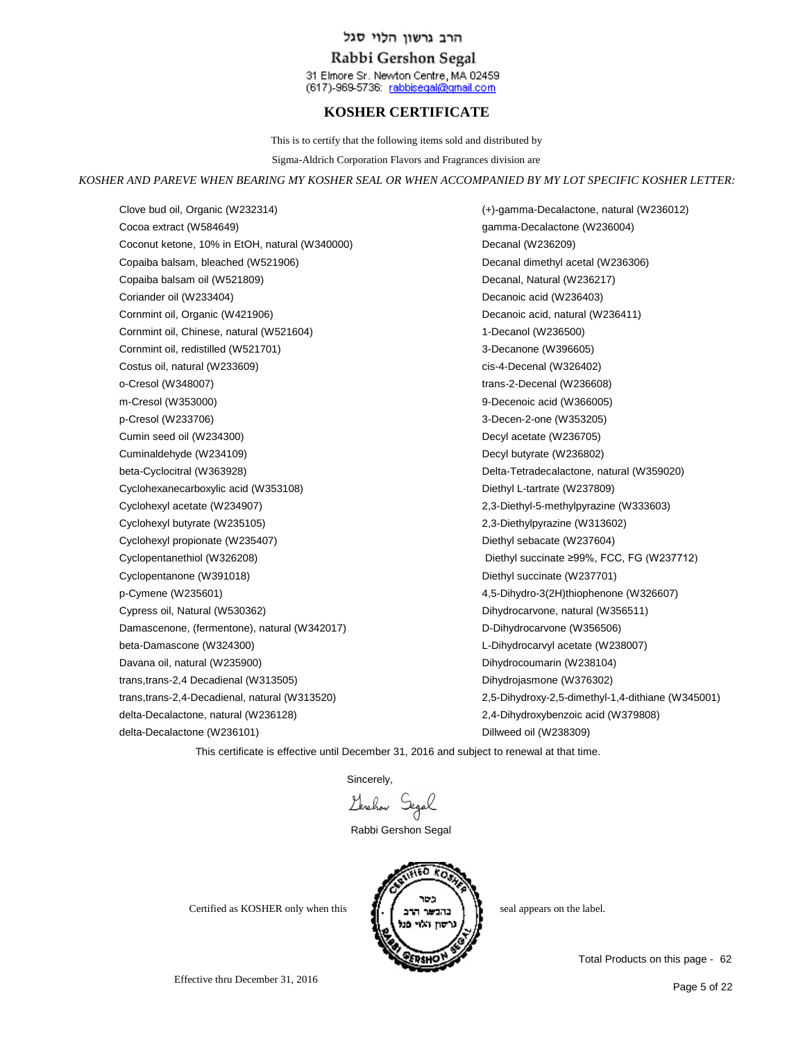## Rabbi Gershon Segal

31 Elmore Sr. Newton Centre, MA 02459 (617)-969-5736: rabbisegal@gmail.com

# **KOSHER CERTIFICATE**

This is to certify that the following items sold and distributed by

Sigma-Aldrich Corporation Flavors and Fragrances division are

#### *KOSHER AND PAREVE WHEN BEARING MY KOSHER SEAL OR WHEN ACCOMPANIED BY MY LOT SPECIFIC KOSHER LETTER:*

Clove bud oil, Organic (W232314) Cocoa extract (W584649) Coconut ketone, 10% in EtOH, natural (W340000) Copaiba balsam, bleached (W521906) Copaiba balsam oil (W521809) Coriander oil (W233404) Cornmint oil, Organic (W421906) Cornmint oil, Chinese, natural (W521604) Cornmint oil, redistilled (W521701) Costus oil, natural (W233609) o-Cresol (W348007) m-Cresol (W353000) p-Cresol (W233706) Cumin seed oil (W234300) Cuminaldehyde (W234109) beta-Cyclocitral (W363928) Cyclohexanecarboxylic acid (W353108) Cyclohexyl acetate (W234907) Cyclohexyl butyrate (W235105) Cyclohexyl propionate (W235407) Cyclopentanethiol (W326208) Cyclopentanone (W391018) p-Cymene (W235601) Cypress oil, Natural (W530362) Damascenone, (fermentone), natural (W342017) beta-Damascone (W324300) Davana oil, natural (W235900) trans,trans-2,4 Decadienal (W313505) trans,trans-2,4-Decadienal, natural (W313520) delta-Decalactone, natural (W236128) delta-Decalactone (W236101)

(+)-gamma-Decalactone, natural (W236012) gamma-Decalactone (W236004) Decanal (W236209) Decanal dimethyl acetal (W236306) Decanal, Natural (W236217) Decanoic acid (W236403) Decanoic acid, natural (W236411) 1-Decanol (W236500) 3-Decanone (W396605) cis-4-Decenal (W326402) trans-2-Decenal (W236608) 9-Decenoic acid (W366005) 3-Decen-2-one (W353205) Decyl acetate (W236705) Decyl butyrate (W236802) Delta-Tetradecalactone, natural (W359020) Diethyl L-tartrate (W237809) 2,3-Diethyl-5-methylpyrazine (W333603) 2,3-Diethylpyrazine (W313602) Diethyl sebacate (W237604) Diethyl succinate ≥99%, FCC, FG (W237712) Diethyl succinate (W237701) 4,5-Dihydro-3(2H)thiophenone (W326607) Dihydrocarvone, natural (W356511) D-Dihydrocarvone (W356506) L-Dihydrocarvyl acetate (W238007) Dihydrocoumarin (W238104) Dihydrojasmone (W376302) 2,5-Dihydroxy-2,5-dimethyl-1,4-dithiane (W345001) 2,4-Dihydroxybenzoic acid (W379808) Dillweed oil (W238309)

This certificate is effective until December 31, 2016 and subject to renewal at that time.

Sincerely,

Gerchan Segal

Rabbi Gershon Segal



Effective thru December 31, 2016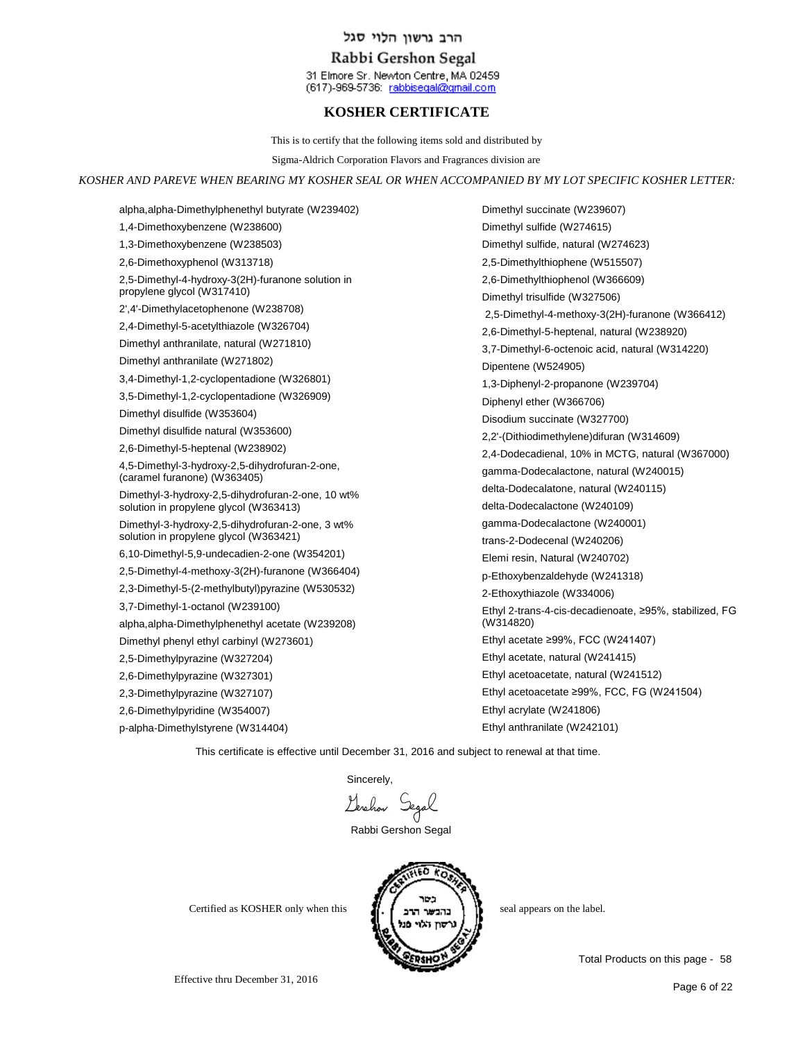## Rabbi Gershon Segal

31 Elmore Sr. Newton Centre, MA 02459 (617)-969-5736: rabbisegal@gmail.com

# **KOSHER CERTIFICATE**

This is to certify that the following items sold and distributed by

Sigma-Aldrich Corporation Flavors and Fragrances division are

*KOSHER AND PAREVE WHEN BEARING MY KOSHER SEAL OR WHEN ACCOMPANIED BY MY LOT SPECIFIC KOSHER LETTER:*

alpha,alpha-Dimethylphenethyl butyrate (W239402) 1,4-Dimethoxybenzene (W238600) 1,3-Dimethoxybenzene (W238503) 2,6-Dimethoxyphenol (W313718) 2,5-Dimethyl-4-hydroxy-3(2H)-furanone solution in propylene glycol (W317410) 2',4'-Dimethylacetophenone (W238708) 2,4-Dimethyl-5-acetylthiazole (W326704) Dimethyl anthranilate, natural (W271810) Dimethyl anthranilate (W271802) 3,4-Dimethyl-1,2-cyclopentadione (W326801) 3,5-Dimethyl-1,2-cyclopentadione (W326909) Dimethyl disulfide (W353604) Dimethyl disulfide natural (W353600) 2,6-Dimethyl-5-heptenal (W238902) 4,5-Dimethyl-3-hydroxy-2,5-dihydrofuran-2-one, (caramel furanone) (W363405) Dimethyl-3-hydroxy-2,5-dihydrofuran-2-one, 10 wt% solution in propylene glycol (W363413) Dimethyl-3-hydroxy-2,5-dihydrofuran-2-one, 3 wt% solution in propylene glycol (W363421) 6,10-Dimethyl-5,9-undecadien-2-one (W354201) 2,5-Dimethyl-4-methoxy-3(2H)-furanone (W366404) 2,3-Dimethyl-5-(2-methylbutyl)pyrazine (W530532) 3,7-Dimethyl-1-octanol (W239100) alpha,alpha-Dimethylphenethyl acetate (W239208) Dimethyl phenyl ethyl carbinyl (W273601) 2,5-Dimethylpyrazine (W327204) 2,6-Dimethylpyrazine (W327301) 2,3-Dimethylpyrazine (W327107) 2,6-Dimethylpyridine (W354007)

p-alpha-Dimethylstyrene (W314404)

Dimethyl succinate (W239607) Dimethyl sulfide (W274615) Dimethyl sulfide, natural (W274623) 2,5-Dimethylthiophene (W515507) 2,6-Dimethylthiophenol (W366609) Dimethyl trisulfide (W327506) 2,5-Dimethyl-4-methoxy-3(2H)-furanone (W366412) 2,6-Dimethyl-5-heptenal, natural (W238920) 3,7-Dimethyl-6-octenoic acid, natural (W314220) Dipentene (W524905) 1,3-Diphenyl-2-propanone (W239704) Diphenyl ether (W366706) Disodium succinate (W327700) 2,2'-(Dithiodimethylene)difuran (W314609) 2,4-Dodecadienal, 10% in MCTG, natural (W367000) gamma-Dodecalactone, natural (W240015) delta-Dodecalatone, natural (W240115) delta-Dodecalactone (W240109) gamma-Dodecalactone (W240001) trans-2-Dodecenal (W240206) Elemi resin, Natural (W240702) p-Ethoxybenzaldehyde (W241318) 2-Ethoxythiazole (W334006) Ethyl 2-trans-4-cis-decadienoate, ≥95%, stabilized, FG (W314820) Ethyl acetate ≥99%, FCC (W241407) Ethyl acetate, natural (W241415) Ethyl acetoacetate, natural (W241512) Ethyl acetoacetate ≥99%, FCC, FG (W241504) Ethyl acrylate (W241806) Ethyl anthranilate (W242101)

This certificate is effective until December 31, 2016 and subject to renewal at that time.

**Sincerely** 

Gerchan Segal

Rabbi Gershon Segal



Effective thru December 31, 2016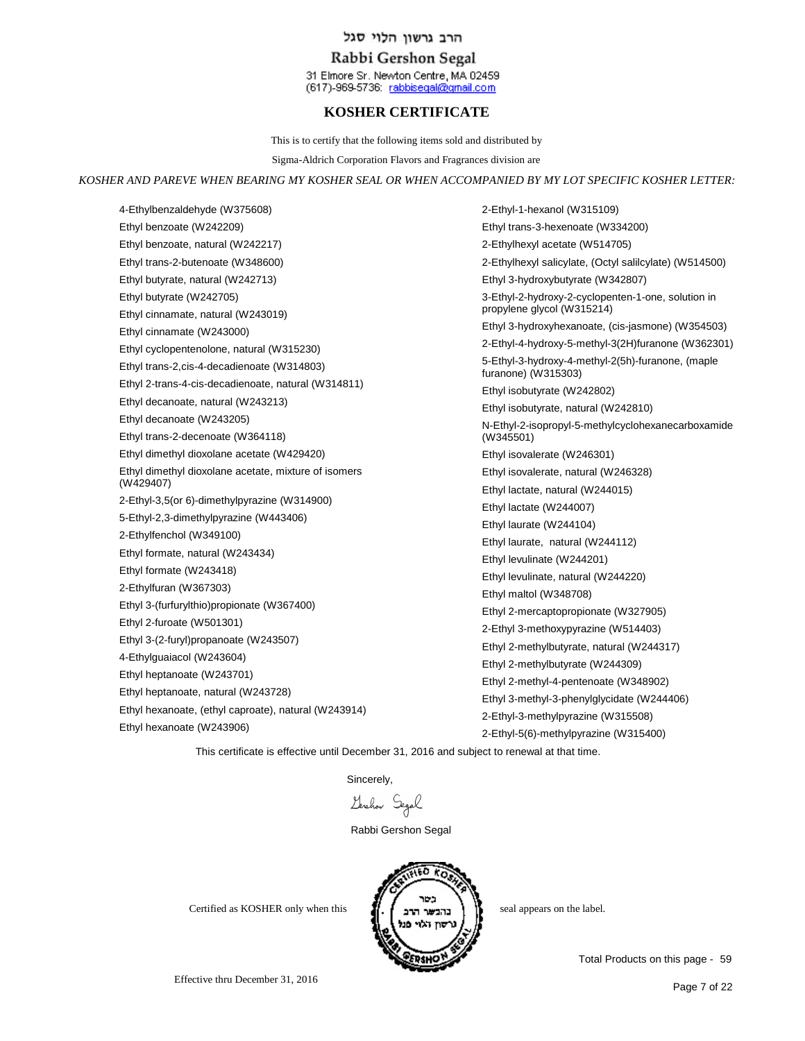## Rabbi Gershon Segal

31 Elmore Sr. Newton Centre, MA 02459 (617)-969-5736: rabbisegal@gmail.com

# **KOSHER CERTIFICATE**

This is to certify that the following items sold and distributed by

Sigma-Aldrich Corporation Flavors and Fragrances division are

#### *KOSHER AND PAREVE WHEN BEARING MY KOSHER SEAL OR WHEN ACCOMPANIED BY MY LOT SPECIFIC KOSHER LETTER:*

4-Ethylbenzaldehyde (W375608) Ethyl benzoate (W242209) Ethyl benzoate, natural (W242217) Ethyl trans-2-butenoate (W348600) Ethyl butyrate, natural (W242713) Ethyl butyrate (W242705) Ethyl cinnamate, natural (W243019) Ethyl cinnamate (W243000) Ethyl cyclopentenolone, natural (W315230) Ethyl trans-2,cis-4-decadienoate (W314803) Ethyl 2-trans-4-cis-decadienoate, natural (W314811) Ethyl decanoate, natural (W243213) Ethyl decanoate (W243205) Ethyl trans-2-decenoate (W364118) Ethyl dimethyl dioxolane acetate (W429420) Ethyl dimethyl dioxolane acetate, mixture of isomers (W429407) 2-Ethyl-3,5(or 6)-dimethylpyrazine (W314900) 5-Ethyl-2,3-dimethylpyrazine (W443406) 2-Ethylfenchol (W349100) Ethyl formate, natural (W243434) Ethyl formate (W243418) 2-Ethylfuran (W367303) Ethyl 3-(furfurylthio)propionate (W367400) Ethyl 2-furoate (W501301) Ethyl 3-(2-furyl)propanoate (W243507) 4-Ethylguaiacol (W243604) Ethyl heptanoate (W243701) Ethyl heptanoate, natural (W243728) Ethyl hexanoate, (ethyl caproate), natural (W243914) Ethyl hexanoate (W243906)

2-Ethyl-1-hexanol (W315109) Ethyl trans-3-hexenoate (W334200) 2-Ethylhexyl acetate (W514705) 2-Ethylhexyl salicylate, (Octyl salilcylate) (W514500) Ethyl 3-hydroxybutyrate (W342807) 3-Ethyl-2-hydroxy-2-cyclopenten-1-one, solution in propylene glycol (W315214) Ethyl 3-hydroxyhexanoate, (cis-jasmone) (W354503) 2-Ethyl-4-hydroxy-5-methyl-3(2H)furanone (W362301) 5-Ethyl-3-hydroxy-4-methyl-2(5h)-furanone, (maple furanone) (W315303) Ethyl isobutyrate (W242802) Ethyl isobutyrate, natural (W242810) N-Ethyl-2-isopropyl-5-methylcyclohexanecarboxamide (W345501) Ethyl isovalerate (W246301) Ethyl isovalerate, natural (W246328) Ethyl lactate, natural (W244015) Ethyl lactate (W244007) Ethyl laurate (W244104) Ethyl laurate, natural (W244112) Ethyl levulinate (W244201) Ethyl levulinate, natural (W244220) Ethyl maltol (W348708) Ethyl 2-mercaptopropionate (W327905) 2-Ethyl 3-methoxypyrazine (W514403) Ethyl 2-methylbutyrate, natural (W244317) Ethyl 2-methylbutyrate (W244309) Ethyl 2-methyl-4-pentenoate (W348902) Ethyl 3-methyl-3-phenylglycidate (W244406) 2-Ethyl-3-methylpyrazine (W315508) 2-Ethyl-5(6)-methylpyrazine (W315400)

This certificate is effective until December 31, 2016 and subject to renewal at that time.

Sincerely,

Gerahan Segal

Rabbi Gershon Segal



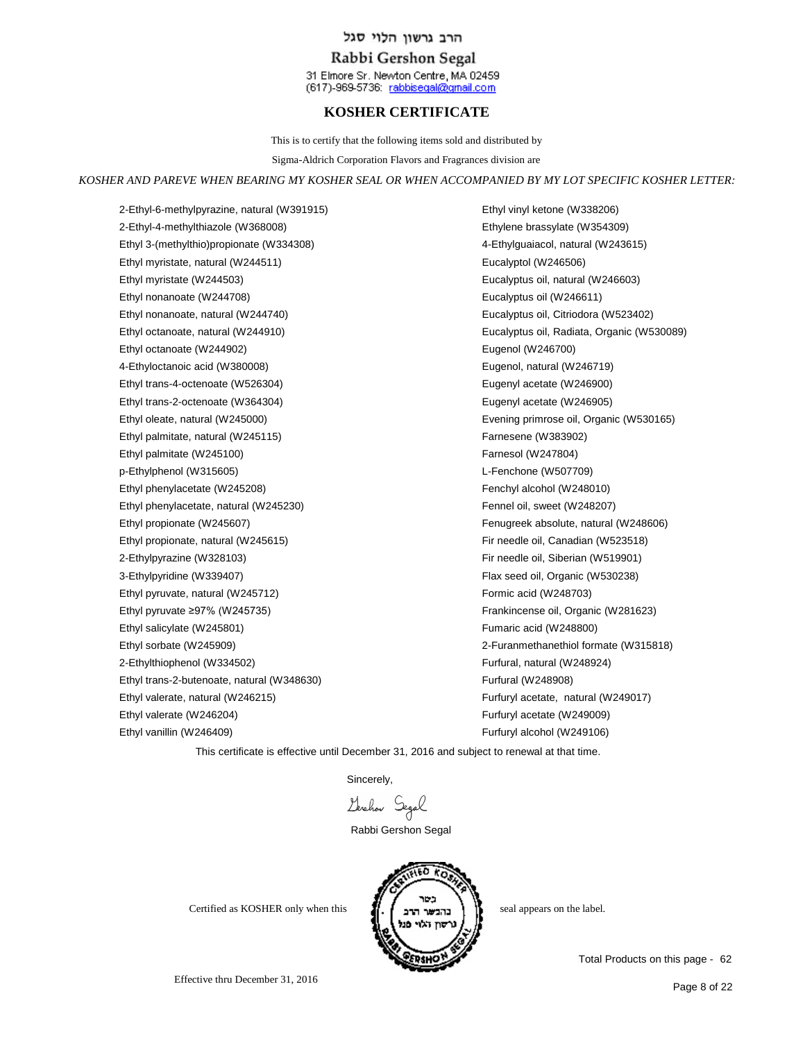## Rabbi Gershon Segal

31 Elmore Sr. Newton Centre, MA 02459 (617)-969-5736: rabbisegal@gmail.com

## **KOSHER CERTIFICATE**

This is to certify that the following items sold and distributed by

Sigma-Aldrich Corporation Flavors and Fragrances division are

#### *KOSHER AND PAREVE WHEN BEARING MY KOSHER SEAL OR WHEN ACCOMPANIED BY MY LOT SPECIFIC KOSHER LETTER:*

2-Ethyl-6-methylpyrazine, natural (W391915) 2-Ethyl-4-methylthiazole (W368008) Ethyl 3-(methylthio)propionate (W334308) Ethyl myristate, natural (W244511) Ethyl myristate (W244503) Ethyl nonanoate (W244708) Ethyl nonanoate, natural (W244740) Ethyl octanoate, natural (W244910) Ethyl octanoate (W244902) 4-Ethyloctanoic acid (W380008) Ethyl trans-4-octenoate (W526304) Ethyl trans-2-octenoate (W364304) Ethyl oleate, natural (W245000) Ethyl palmitate, natural (W245115) Ethyl palmitate (W245100) p-Ethylphenol (W315605) Ethyl phenylacetate (W245208) Ethyl phenylacetate, natural (W245230) Ethyl propionate (W245607) Ethyl propionate, natural (W245615) 2-Ethylpyrazine (W328103) 3-Ethylpyridine (W339407) Ethyl pyruvate, natural (W245712) Ethyl pyruvate ≥97% (W245735) Ethyl salicylate (W245801) Ethyl sorbate (W245909) 2-Ethylthiophenol (W334502) Ethyl trans-2-butenoate, natural (W348630) Ethyl valerate, natural (W246215) Ethyl valerate (W246204) Ethyl vanillin (W246409)

Ethyl vinyl ketone (W338206) Ethylene brassylate (W354309) 4-Ethylguaiacol, natural (W243615) Eucalyptol (W246506) Eucalyptus oil, natural (W246603) Eucalyptus oil (W246611) Eucalyptus oil, Citriodora (W523402) Eucalyptus oil, Radiata, Organic (W530089) Eugenol (W246700) Eugenol, natural (W246719) Eugenyl acetate (W246900) Eugenyl acetate (W246905) Evening primrose oil, Organic (W530165) Farnesene (W383902) Farnesol (W247804) L-Fenchone (W507709) Fenchyl alcohol (W248010) Fennel oil, sweet (W248207) Fenugreek absolute, natural (W248606) Fir needle oil, Canadian (W523518) Fir needle oil, Siberian (W519901) Flax seed oil, Organic (W530238) Formic acid (W248703) Frankincense oil, Organic (W281623) Fumaric acid (W248800) 2-Furanmethanethiol formate (W315818) Furfural, natural (W248924) Furfural (W248908) Furfuryl acetate, natural (W249017) Furfuryl acetate (W249009) Furfuryl alcohol (W249106)

This certificate is effective until December 31, 2016 and subject to renewal at that time.

Sincerely,

Lerchon Segal

Rabbi Gershon Segal



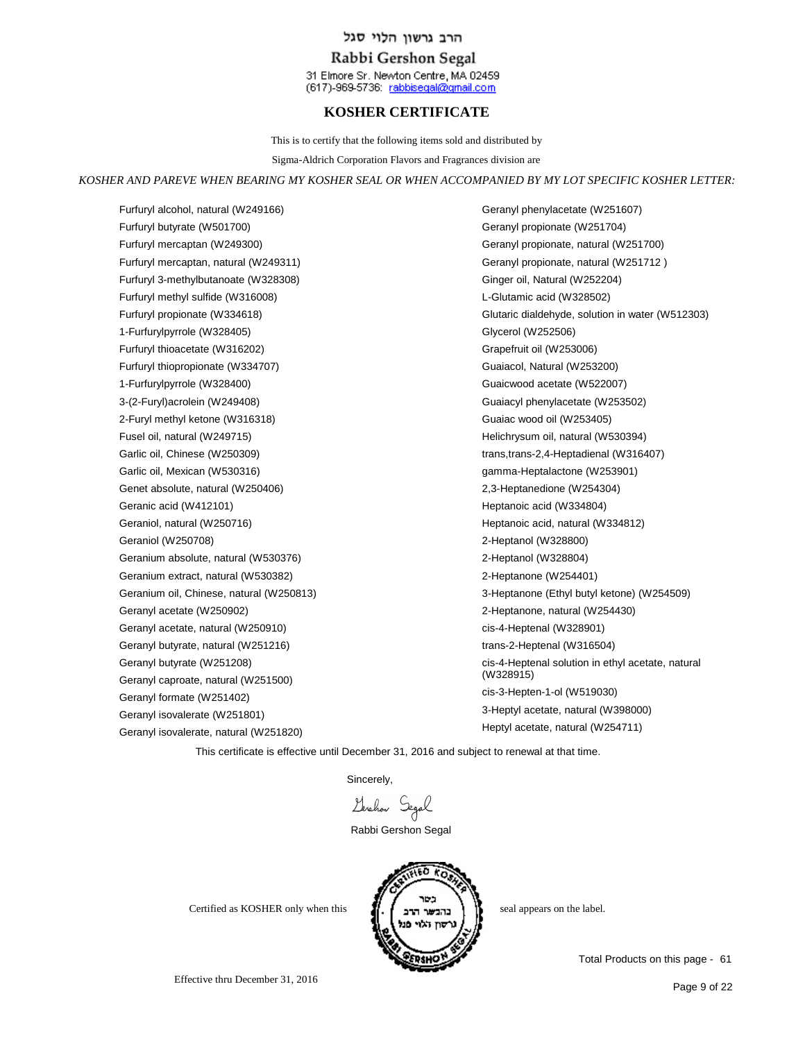## Rabbi Gershon Segal

31 Elmore Sr. Newton Centre, MA 02459 (617)-969-5736: rabbisegal@gmail.com

## **KOSHER CERTIFICATE**

This is to certify that the following items sold and distributed by

Sigma-Aldrich Corporation Flavors and Fragrances division are

#### *KOSHER AND PAREVE WHEN BEARING MY KOSHER SEAL OR WHEN ACCOMPANIED BY MY LOT SPECIFIC KOSHER LETTER:*

Furfuryl alcohol, natural (W249166) Furfuryl butyrate (W501700) Furfuryl mercaptan (W249300) Furfuryl mercaptan, natural (W249311) Furfuryl 3-methylbutanoate (W328308) Furfuryl methyl sulfide (W316008) Furfuryl propionate (W334618) 1-Furfurylpyrrole (W328405) Furfuryl thioacetate (W316202) Furfuryl thiopropionate (W334707) 1-Furfurylpyrrole (W328400) 3-(2-Furyl)acrolein (W249408) 2-Furyl methyl ketone (W316318) Fusel oil, natural (W249715) Garlic oil, Chinese (W250309) Garlic oil, Mexican (W530316) Genet absolute, natural (W250406) Geranic acid (W412101) Geraniol, natural (W250716) Geraniol (W250708) Geranium absolute, natural (W530376) Geranium extract, natural (W530382) Geranium oil, Chinese, natural (W250813) Geranyl acetate (W250902) Geranyl acetate, natural (W250910) Geranyl butyrate, natural (W251216) Geranyl butyrate (W251208) Geranyl caproate, natural (W251500) Geranyl formate (W251402) Geranyl isovalerate (W251801) Geranyl isovalerate, natural (W251820)

Geranyl phenylacetate (W251607) Geranyl propionate (W251704) Geranyl propionate, natural (W251700) Geranyl propionate, natural (W251712 ) Ginger oil, Natural (W252204) L-Glutamic acid (W328502) Glutaric dialdehyde, solution in water (W512303) Glycerol (W252506) Grapefruit oil (W253006) Guaiacol, Natural (W253200) Guaicwood acetate (W522007) Guaiacyl phenylacetate (W253502) Guaiac wood oil (W253405) Helichrysum oil, natural (W530394) trans,trans-2,4-Heptadienal (W316407) gamma-Heptalactone (W253901) 2,3-Heptanedione (W254304) Heptanoic acid (W334804) Heptanoic acid, natural (W334812) 2-Heptanol (W328800) 2-Heptanol (W328804) 2-Heptanone (W254401) 3-Heptanone (Ethyl butyl ketone) (W254509) 2-Heptanone, natural (W254430) cis-4-Heptenal (W328901) trans-2-Heptenal (W316504) cis-4-Heptenal solution in ethyl acetate, natural (W328915) cis-3-Hepten-1-ol (W519030) 3-Heptyl acetate, natural (W398000) Heptyl acetate, natural (W254711)

This certificate is effective until December 31, 2016 and subject to renewal at that time.

Sincerely,

Gershow Segal

Rabbi Gershon Segal



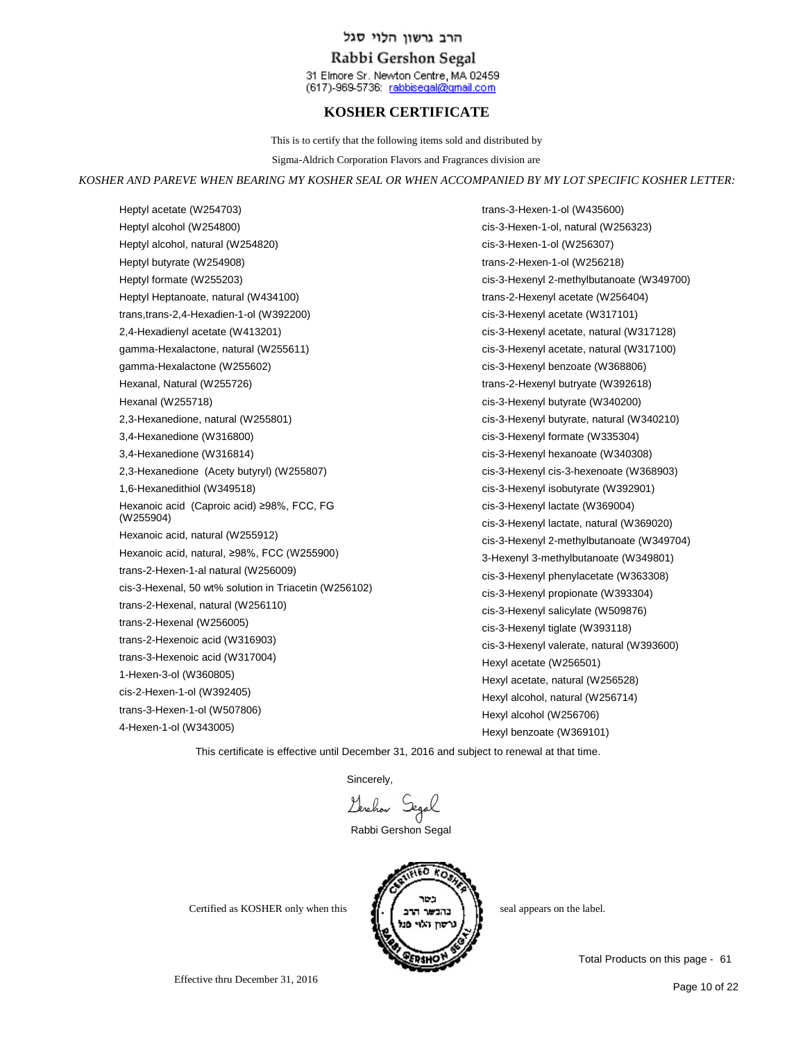## Rabbi Gershon Segal

31 Elmore Sr. Newton Centre, MA 02459 (617)-969-5736: rabbisegal@gmail.com

## **KOSHER CERTIFICATE**

This is to certify that the following items sold and distributed by

Sigma-Aldrich Corporation Flavors and Fragrances division are

#### *KOSHER AND PAREVE WHEN BEARING MY KOSHER SEAL OR WHEN ACCOMPANIED BY MY LOT SPECIFIC KOSHER LETTER:*

Heptyl acetate (W254703) Heptyl alcohol (W254800) Heptyl alcohol, natural (W254820) Heptyl butyrate (W254908) Heptyl formate (W255203) Heptyl Heptanoate, natural (W434100) trans,trans-2,4-Hexadien-1-ol (W392200) 2,4-Hexadienyl acetate (W413201) gamma-Hexalactone, natural (W255611) gamma-Hexalactone (W255602) Hexanal, Natural (W255726) Hexanal (W255718) 2,3-Hexanedione, natural (W255801) 3,4-Hexanedione (W316800) 3,4-Hexanedione (W316814) 2,3-Hexanedione (Acety butyryl) (W255807) 1,6-Hexanedithiol (W349518) Hexanoic acid (Caproic acid) ≥98%, FCC, FG (W255904) Hexanoic acid, natural (W255912) Hexanoic acid, natural, ≥98%, FCC (W255900) trans-2-Hexen-1-al natural (W256009) cis-3-Hexenal, 50 wt% solution in Triacetin (W256102) trans-2-Hexenal, natural (W256110) trans-2-Hexenal (W256005) trans-2-Hexenoic acid (W316903) trans-3-Hexenoic acid (W317004) 1-Hexen-3-ol (W360805) cis-2-Hexen-1-ol (W392405) trans-3-Hexen-1-ol (W507806) 4-Hexen-1-ol (W343005)

trans-3-Hexen-1-ol (W435600) cis-3-Hexen-1-ol, natural (W256323) cis-3-Hexen-1-ol (W256307) trans-2-Hexen-1-ol (W256218) cis-3-Hexenyl 2-methylbutanoate (W349700) trans-2-Hexenyl acetate (W256404) cis-3-Hexenyl acetate (W317101) cis-3-Hexenyl acetate, natural (W317128) cis-3-Hexenyl acetate, natural (W317100) cis-3-Hexenyl benzoate (W368806) trans-2-Hexenyl butryate (W392618) cis-3-Hexenyl butyrate (W340200) cis-3-Hexenyl butyrate, natural (W340210) cis-3-Hexenyl formate (W335304) cis-3-Hexenyl hexanoate (W340308) cis-3-Hexenyl cis-3-hexenoate (W368903) cis-3-Hexenyl isobutyrate (W392901) cis-3-Hexenyl lactate (W369004) cis-3-Hexenyl lactate, natural (W369020) cis-3-Hexenyl 2-methylbutanoate (W349704) 3-Hexenyl 3-methylbutanoate (W349801) cis-3-Hexenyl phenylacetate (W363308) cis-3-Hexenyl propionate (W393304) cis-3-Hexenyl salicylate (W509876) cis-3-Hexenyl tiglate (W393118) cis-3-Hexenyl valerate, natural (W393600) Hexyl acetate (W256501) Hexyl acetate, natural (W256528) Hexyl alcohol, natural (W256714) Hexyl alcohol (W256706) Hexyl benzoate (W369101)

This certificate is effective until December 31, 2016 and subject to renewal at that time.

Sincerely,

Gershow Segal

Rabbi Gershon Segal



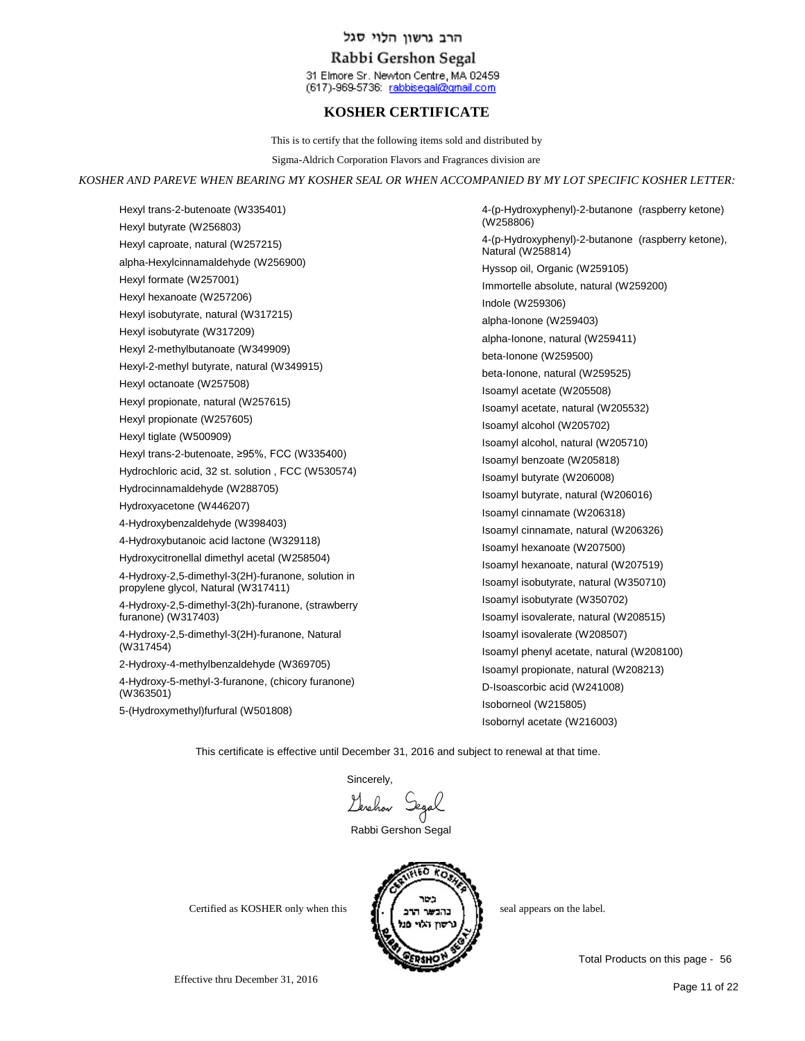## Rabbi Gershon Segal

31 Elmore Sr. Newton Centre, MA 02459 (617)-969-5736: rabbisegal@gmail.com

# **KOSHER CERTIFICATE**

This is to certify that the following items sold and distributed by

Sigma-Aldrich Corporation Flavors and Fragrances division are

#### *KOSHER AND PAREVE WHEN BEARING MY KOSHER SEAL OR WHEN ACCOMPANIED BY MY LOT SPECIFIC KOSHER LETTER:*

Hexyl trans-2-butenoate (W335401) Hexyl butyrate (W256803) Hexyl caproate, natural (W257215) alpha-Hexylcinnamaldehyde (W256900) Hexyl formate (W257001) Hexyl hexanoate (W257206) Hexyl isobutyrate, natural (W317215) Hexyl isobutyrate (W317209) Hexyl 2-methylbutanoate (W349909) Hexyl-2-methyl butyrate, natural (W349915) Hexyl octanoate (W257508) Hexyl propionate, natural (W257615) Hexyl propionate (W257605) Hexyl tiglate (W500909) Hexyl trans-2-butenoate, ≥95%, FCC (W335400) Hydrochloric acid, 32 st. solution , FCC (W530574) Hydrocinnamaldehyde (W288705) Hydroxyacetone (W446207) 4-Hydroxybenzaldehyde (W398403) 4-Hydroxybutanoic acid lactone (W329118) Hydroxycitronellal dimethyl acetal (W258504) 4-Hydroxy-2,5-dimethyl-3(2H)-furanone, solution in propylene glycol, Natural (W317411) 4-Hydroxy-2,5-dimethyl-3(2h)-furanone, (strawberry furanone) (W317403) 4-Hydroxy-2,5-dimethyl-3(2H)-furanone, Natural (W317454) 2-Hydroxy-4-methylbenzaldehyde (W369705) 4-Hydroxy-5-methyl-3-furanone, (chicory furanone) (W363501)

5-(Hydroxymethyl)furfural (W501808)

4-(p-Hydroxyphenyl)-2-butanone (raspberry ketone) (W258806) 4-(p-Hydroxyphenyl)-2-butanone (raspberry ketone), Natural (W258814) Hyssop oil, Organic (W259105) Immortelle absolute, natural (W259200) Indole (W259306) alpha-Ionone (W259403) alpha-Ionone, natural (W259411) beta-Ionone (W259500) beta-Ionone, natural (W259525) Isoamyl acetate (W205508) Isoamyl acetate, natural (W205532) Isoamyl alcohol (W205702) Isoamyl alcohol, natural (W205710) Isoamyl benzoate (W205818) Isoamyl butyrate (W206008) Isoamyl butyrate, natural (W206016) Isoamyl cinnamate (W206318) Isoamyl cinnamate, natural (W206326) Isoamyl hexanoate (W207500) Isoamyl hexanoate, natural (W207519) Isoamyl isobutyrate, natural (W350710) Isoamyl isobutyrate (W350702) Isoamyl isovalerate, natural (W208515) Isoamyl isovalerate (W208507) Isoamyl phenyl acetate, natural (W208100) Isoamyl propionate, natural (W208213) D-Isoascorbic acid (W241008) Isoborneol (W215805) Isobornyl acetate (W216003)

This certificate is effective until December 31, 2016 and subject to renewal at that time.

Sincerely,

Genehav Segal

Rabbi Gershon Segal



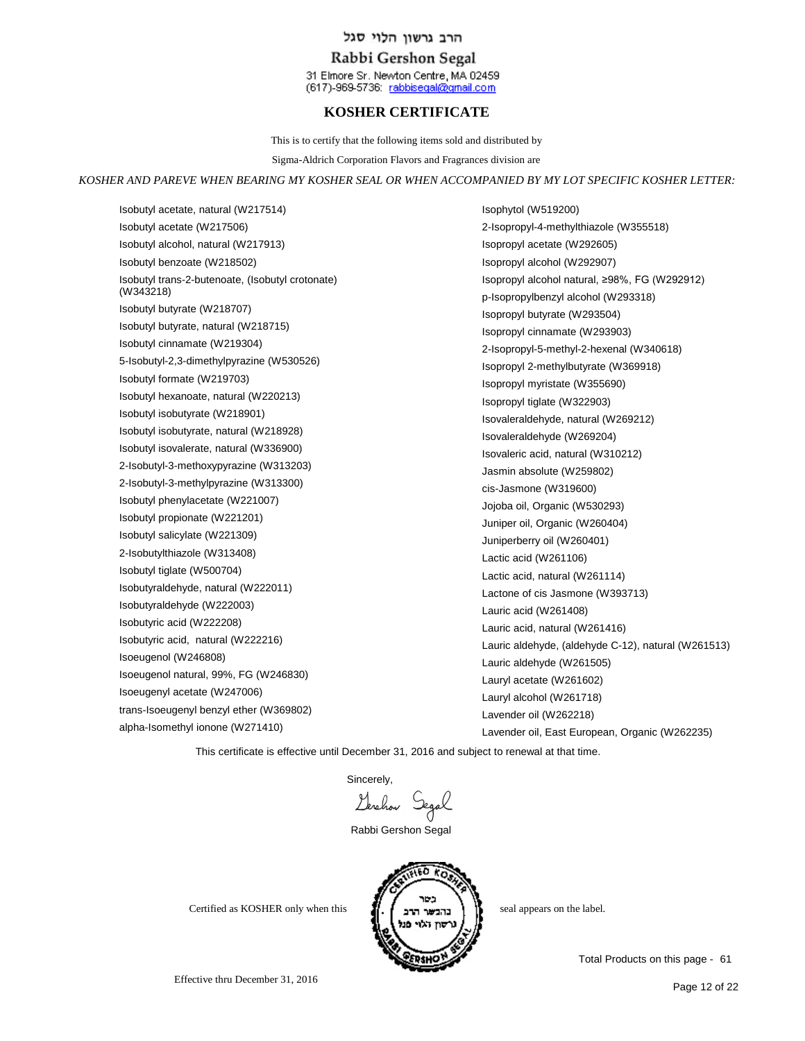## Rabbi Gershon Segal

31 Elmore Sr. Newton Centre, MA 02459 (617)-969-5736: rabbisegal@gmail.com

# **KOSHER CERTIFICATE**

This is to certify that the following items sold and distributed by

Sigma-Aldrich Corporation Flavors and Fragrances division are

#### *KOSHER AND PAREVE WHEN BEARING MY KOSHER SEAL OR WHEN ACCOMPANIED BY MY LOT SPECIFIC KOSHER LETTER:*

Isobutyl acetate, natural (W217514) Isobutyl acetate (W217506) Isobutyl alcohol, natural (W217913) Isobutyl benzoate (W218502) Isobutyl trans-2-butenoate, (Isobutyl crotonate) (W343218) Isobutyl butyrate (W218707) Isobutyl butyrate, natural (W218715) Isobutyl cinnamate (W219304) 5-Isobutyl-2,3-dimethylpyrazine (W530526) Isobutyl formate (W219703) Isobutyl hexanoate, natural (W220213) Isobutyl isobutyrate (W218901) Isobutyl isobutyrate, natural (W218928) Isobutyl isovalerate, natural (W336900) 2-Isobutyl-3-methoxypyrazine (W313203) 2-Isobutyl-3-methylpyrazine (W313300) Isobutyl phenylacetate (W221007) Isobutyl propionate (W221201) Isobutyl salicylate (W221309) 2-Isobutylthiazole (W313408) Isobutyl tiglate (W500704) Isobutyraldehyde, natural (W222011) Isobutyraldehyde (W222003) Isobutyric acid (W222208) Isobutyric acid, natural (W222216) Isoeugenol (W246808) Isoeugenol natural, 99%, FG (W246830) Isoeugenyl acetate (W247006) trans-Isoeugenyl benzyl ether (W369802) alpha-Isomethyl ionone (W271410)

Isophytol (W519200) 2-Isopropyl-4-methylthiazole (W355518) Isopropyl acetate (W292605) Isopropyl alcohol (W292907) Isopropyl alcohol natural, ≥98%, FG (W292912) p-Isopropylbenzyl alcohol (W293318) Isopropyl butyrate (W293504) Isopropyl cinnamate (W293903) 2-Isopropyl-5-methyl-2-hexenal (W340618) Isopropyl 2-methylbutyrate (W369918) Isopropyl myristate (W355690) Isopropyl tiglate (W322903) Isovaleraldehyde, natural (W269212) Isovaleraldehyde (W269204) Isovaleric acid, natural (W310212) Jasmin absolute (W259802) cis-Jasmone (W319600) Jojoba oil, Organic (W530293) Juniper oil, Organic (W260404) Juniperberry oil (W260401) Lactic acid (W261106) Lactic acid, natural (W261114) Lactone of cis Jasmone (W393713) Lauric acid (W261408) Lauric acid, natural (W261416) Lauric aldehyde, (aldehyde C-12), natural (W261513) Lauric aldehyde (W261505) Lauryl acetate (W261602) Lauryl alcohol (W261718) Lavender oil (W262218) Lavender oil, East European, Organic (W262235)

This certificate is effective until December 31, 2016 and subject to renewal at that time.

Sincerely,<br>Levelrow Segal

Rabbi Gershon Segal



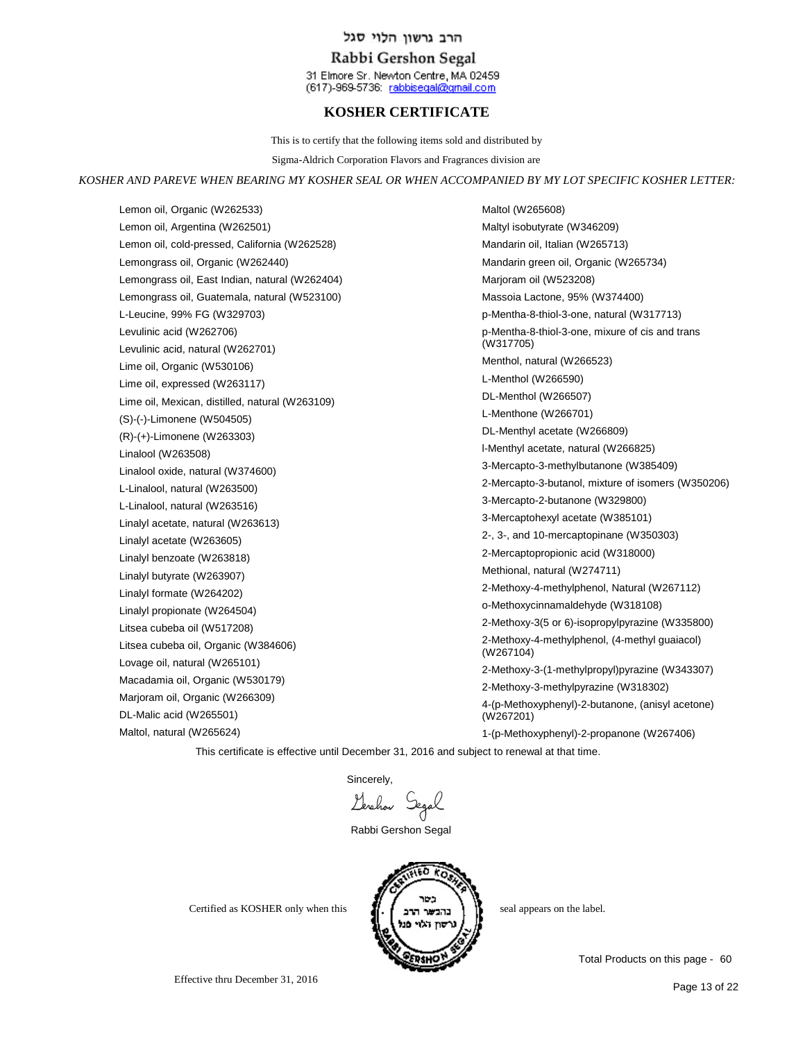## Rabbi Gershon Segal

31 Elmore Sr. Newton Centre, MA 02459 (617)-969-5736: rabbisegal@gmail.com

# **KOSHER CERTIFICATE**

This is to certify that the following items sold and distributed by

Sigma-Aldrich Corporation Flavors and Fragrances division are

#### *KOSHER AND PAREVE WHEN BEARING MY KOSHER SEAL OR WHEN ACCOMPANIED BY MY LOT SPECIFIC KOSHER LETTER:*

Lemon oil, Organic (W262533) Lemon oil, Argentina (W262501) Lemon oil, cold-pressed, California (W262528) Lemongrass oil, Organic (W262440) Lemongrass oil, East Indian, natural (W262404) Lemongrass oil, Guatemala, natural (W523100) L-Leucine, 99% FG (W329703) Levulinic acid (W262706) Levulinic acid, natural (W262701) Lime oil, Organic (W530106) Lime oil, expressed (W263117) Lime oil, Mexican, distilled, natural (W263109) (S)-(-)-Limonene (W504505) (R)-(+)-Limonene (W263303) Linalool (W263508) Linalool oxide, natural (W374600) L-Linalool, natural (W263500) L-Linalool, natural (W263516) Linalyl acetate, natural (W263613) Linalyl acetate (W263605) Linalyl benzoate (W263818) Linalyl butyrate (W263907) Linalyl formate (W264202) Linalyl propionate (W264504) Litsea cubeba oil (W517208) Litsea cubeba oil, Organic (W384606) Lovage oil, natural (W265101) Macadamia oil, Organic (W530179) Marjoram oil, Organic (W266309) DL-Malic acid (W265501)

Maltol, natural (W265624)

Maltol (W265608) Maltyl isobutyrate (W346209) Mandarin oil, Italian (W265713) Mandarin green oil, Organic (W265734) Marjoram oil (W523208) Massoia Lactone, 95% (W374400) p-Mentha-8-thiol-3-one, natural (W317713) p-Mentha-8-thiol-3-one, mixure of cis and trans (W317705) Menthol, natural (W266523) L-Menthol (W266590) DL-Menthol (W266507) L-Menthone (W266701) DL-Menthyl acetate (W266809) l-Menthyl acetate, natural (W266825) 3-Mercapto-3-methylbutanone (W385409) 2-Mercapto-3-butanol, mixture of isomers (W350206) 3-Mercapto-2-butanone (W329800) 3-Mercaptohexyl acetate (W385101) 2-, 3-, and 10-mercaptopinane (W350303) 2-Mercaptopropionic acid (W318000) Methional, natural (W274711) 2-Methoxy-4-methylphenol, Natural (W267112) o-Methoxycinnamaldehyde (W318108) 2-Methoxy-3(5 or 6)-isopropylpyrazine (W335800) 2-Methoxy-4-methylphenol, (4-methyl guaiacol) (W267104) 2-Methoxy-3-(1-methylpropyl)pyrazine (W343307) 2-Methoxy-3-methylpyrazine (W318302) 4-(p-Methoxyphenyl)-2-butanone, (anisyl acetone) (W267201) 1-(p-Methoxyphenyl)-2-propanone (W267406)

This certificate is effective until December 31, 2016 and subject to renewal at that time.

Sincerely,

Gerchan Segal

Rabbi Gershon Segal



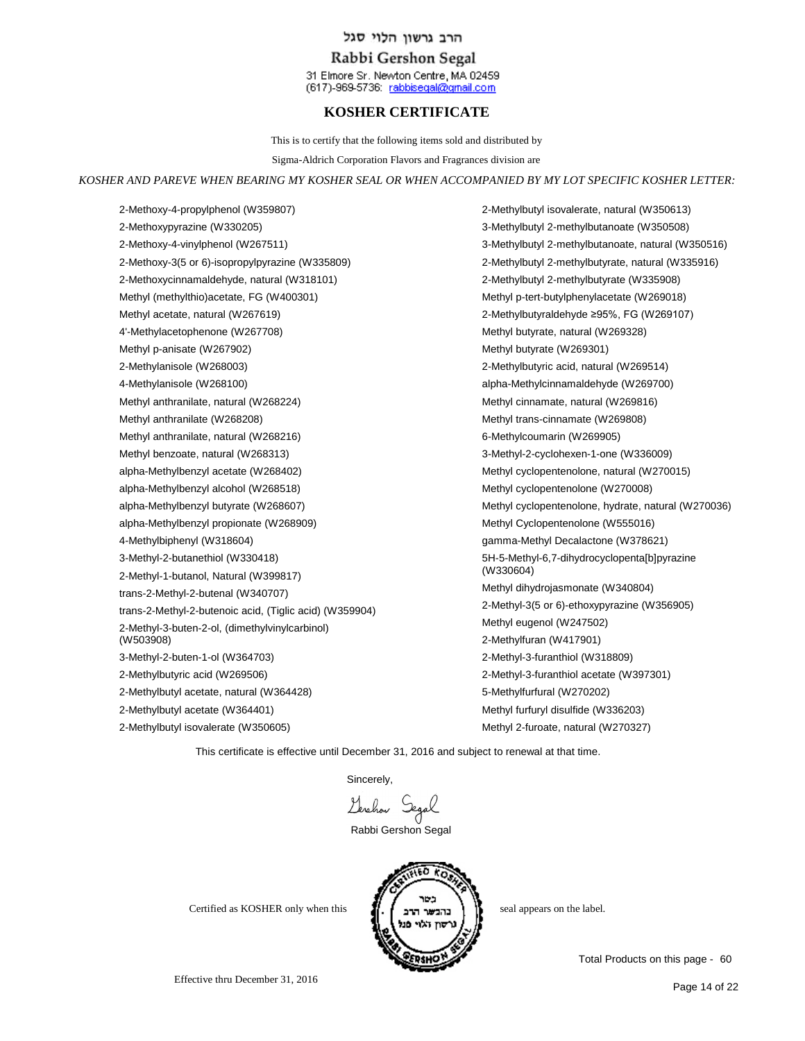## Rabbi Gershon Segal

31 Elmore Sr. Newton Centre, MA 02459 (617)-969-5736: rabbisegal@gmail.com

# **KOSHER CERTIFICATE**

This is to certify that the following items sold and distributed by

Sigma-Aldrich Corporation Flavors and Fragrances division are

#### *KOSHER AND PAREVE WHEN BEARING MY KOSHER SEAL OR WHEN ACCOMPANIED BY MY LOT SPECIFIC KOSHER LETTER:*

2-Methoxy-4-propylphenol (W359807) 2-Methoxypyrazine (W330205) 2-Methoxy-4-vinylphenol (W267511) 2-Methoxy-3(5 or 6)-isopropylpyrazine (W335809) 2-Methoxycinnamaldehyde, natural (W318101) Methyl (methylthio)acetate, FG (W400301) Methyl acetate, natural (W267619) 4'-Methylacetophenone (W267708) Methyl p-anisate (W267902) 2-Methylanisole (W268003) 4-Methylanisole (W268100) Methyl anthranilate, natural (W268224) Methyl anthranilate (W268208) Methyl anthranilate, natural (W268216) Methyl benzoate, natural (W268313) alpha-Methylbenzyl acetate (W268402) alpha-Methylbenzyl alcohol (W268518) alpha-Methylbenzyl butyrate (W268607) alpha-Methylbenzyl propionate (W268909) 4-Methylbiphenyl (W318604) 3-Methyl-2-butanethiol (W330418) 2-Methyl-1-butanol, Natural (W399817) trans-2-Methyl-2-butenal (W340707) trans-2-Methyl-2-butenoic acid, (Tiglic acid) (W359904) 2-Methyl-3-buten-2-ol, (dimethylvinylcarbinol) (W503908) 3-Methyl-2-buten-1-ol (W364703) 2-Methylbutyric acid (W269506) 2-Methylbutyl acetate, natural (W364428) 2-Methylbutyl acetate (W364401)

2-Methylbutyl isovalerate (W350605)

3-Methylbutyl 2-methylbutanoate (W350508) 3-Methylbutyl 2-methylbutanoate, natural (W350516) 2-Methylbutyl 2-methylbutyrate, natural (W335916) 2-Methylbutyl 2-methylbutyrate (W335908) Methyl p-tert-butylphenylacetate (W269018) 2-Methylbutyraldehyde ≥95%, FG (W269107) Methyl butyrate, natural (W269328) Methyl butyrate (W269301) 2-Methylbutyric acid, natural (W269514) alpha-Methylcinnamaldehyde (W269700) Methyl cinnamate, natural (W269816) Methyl trans-cinnamate (W269808) 6-Methylcoumarin (W269905) 3-Methyl-2-cyclohexen-1-one (W336009) Methyl cyclopentenolone, natural (W270015) Methyl cyclopentenolone (W270008) Methyl cyclopentenolone, hydrate, natural (W270036) Methyl Cyclopentenolone (W555016) gamma-Methyl Decalactone (W378621) 5H-5-Methyl-6,7-dihydrocyclopenta[b]pyrazine (W330604) Methyl dihydrojasmonate (W340804) 2-Methyl-3(5 or 6)-ethoxypyrazine (W356905) Methyl eugenol (W247502) 2-Methylfuran (W417901) 2-Methyl-3-furanthiol (W318809) 2-Methyl-3-furanthiol acetate (W397301) 5-Methylfurfural (W270202) Methyl furfuryl disulfide (W336203) Methyl 2-furoate, natural (W270327)

2-Methylbutyl isovalerate, natural (W350613)

This certificate is effective until December 31, 2016 and subject to renewal at that time.

Sincerely,

Lerchon Segal

Rabbi Gershon Segal





Total Products on this page - 60

Effective thru December 31, 2016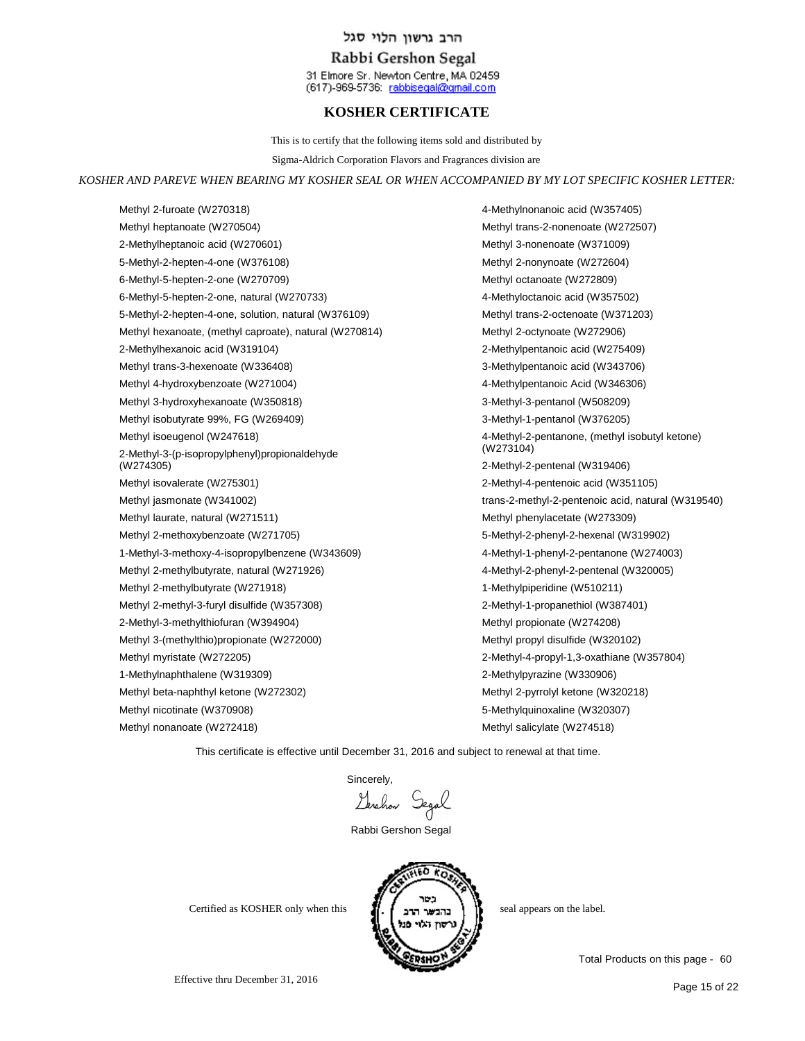## Rabbi Gershon Segal

31 Elmore Sr. Newton Centre, MA 02459 (617)-969-5736: rabbisegal@gmail.com

# **KOSHER CERTIFICATE**

This is to certify that the following items sold and distributed by

Sigma-Aldrich Corporation Flavors and Fragrances division are

#### *KOSHER AND PAREVE WHEN BEARING MY KOSHER SEAL OR WHEN ACCOMPANIED BY MY LOT SPECIFIC KOSHER LETTER:*

Methyl 2-furoate (W270318) Methyl heptanoate (W270504) 2-Methylheptanoic acid (W270601) 5-Methyl-2-hepten-4-one (W376108) 6-Methyl-5-hepten-2-one (W270709) 6-Methyl-5-hepten-2-one, natural (W270733) 5-Methyl-2-hepten-4-one, solution, natural (W376109) Methyl hexanoate, (methyl caproate), natural (W270814) 2-Methylhexanoic acid (W319104) Methyl trans-3-hexenoate (W336408) Methyl 4-hydroxybenzoate (W271004) Methyl 3-hydroxyhexanoate (W350818) Methyl isobutyrate 99%, FG (W269409) Methyl isoeugenol (W247618) 2-Methyl-3-(p-isopropylphenyl)propionaldehyde (W274305) Methyl isovalerate (W275301) Methyl jasmonate (W341002) Methyl laurate, natural (W271511) Methyl 2-methoxybenzoate (W271705) 1-Methyl-3-methoxy-4-isopropylbenzene (W343609) Methyl 2-methylbutyrate, natural (W271926) Methyl 2-methylbutyrate (W271918) Methyl 2-methyl-3-furyl disulfide (W357308) 2-Methyl-3-methylthiofuran (W394904) Methyl 3-(methylthio)propionate (W272000) Methyl myristate (W272205) 1-Methylnaphthalene (W319309) Methyl beta-naphthyl ketone (W272302) Methyl nicotinate (W370908) Methyl nonanoate (W272418)

4-Methylnonanoic acid (W357405) Methyl trans-2-nonenoate (W272507) Methyl 3-nonenoate (W371009) Methyl 2-nonynoate (W272604) Methyl octanoate (W272809) 4-Methyloctanoic acid (W357502) Methyl trans-2-octenoate (W371203) Methyl 2-octynoate (W272906) 2-Methylpentanoic acid (W275409) 3-Methylpentanoic acid (W343706) 4-Methylpentanoic Acid (W346306) 3-Methyl-3-pentanol (W508209) 3-Methyl-1-pentanol (W376205) 4-Methyl-2-pentanone, (methyl isobutyl ketone) (W273104) 2-Methyl-2-pentenal (W319406) 2-Methyl-4-pentenoic acid (W351105) trans-2-methyl-2-pentenoic acid, natural (W319540) Methyl phenylacetate (W273309) 5-Methyl-2-phenyl-2-hexenal (W319902) 4-Methyl-1-phenyl-2-pentanone (W274003) 4-Methyl-2-phenyl-2-pentenal (W320005) 1-Methylpiperidine (W510211) 2-Methyl-1-propanethiol (W387401) Methyl propionate (W274208) Methyl propyl disulfide (W320102) 2-Methyl-4-propyl-1,3-oxathiane (W357804) 2-Methylpyrazine (W330906) Methyl 2-pyrrolyl ketone (W320218) 5-Methylquinoxaline (W320307) Methyl salicylate (W274518)

This certificate is effective until December 31, 2016 and subject to renewal at that time.

Sincerely,<br>Levelhow Segal

Rabbi Gershon Segal



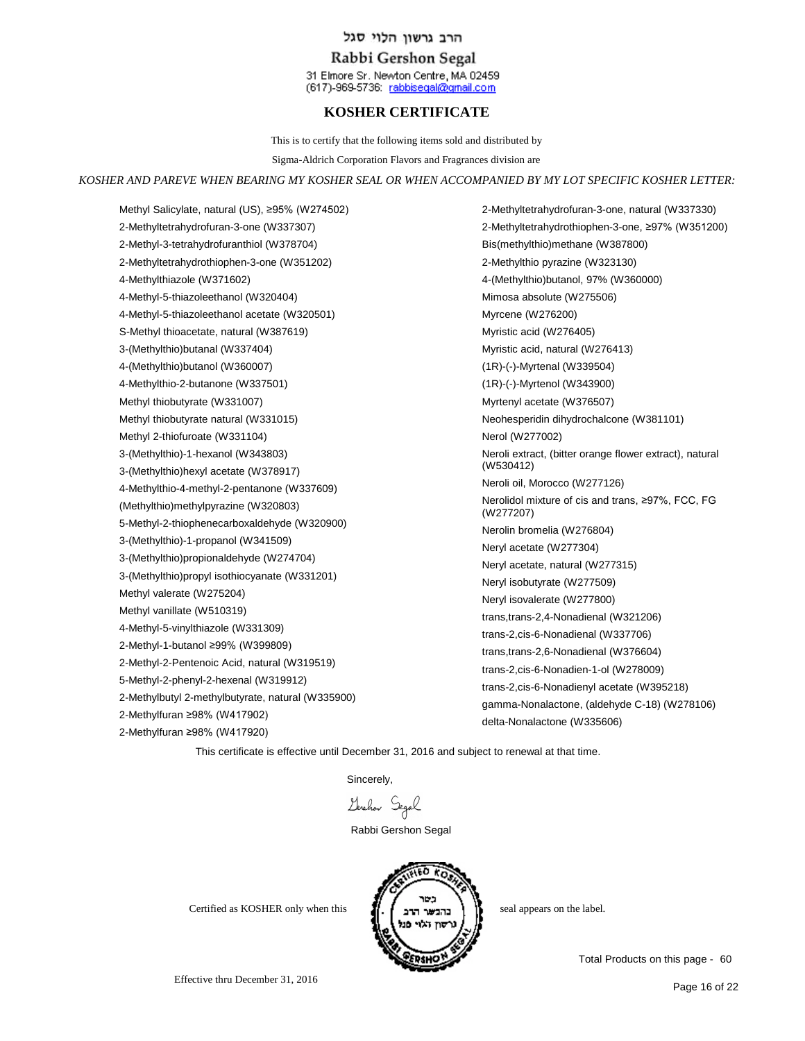## Rabbi Gershon Segal

31 Elmore Sr. Newton Centre, MA 02459 (617)-969-5736: rabbisegal@gmail.com

# **KOSHER CERTIFICATE**

This is to certify that the following items sold and distributed by

Sigma-Aldrich Corporation Flavors and Fragrances division are

#### *KOSHER AND PAREVE WHEN BEARING MY KOSHER SEAL OR WHEN ACCOMPANIED BY MY LOT SPECIFIC KOSHER LETTER:*

Methyl Salicylate, natural (US), ≥95% (W274502) 2-Methyltetrahydrofuran-3-one (W337307) 2-Methyl-3-tetrahydrofuranthiol (W378704) 2-Methyltetrahydrothiophen-3-one (W351202) 4-Methylthiazole (W371602) 4-Methyl-5-thiazoleethanol (W320404) 4-Methyl-5-thiazoleethanol acetate (W320501) S-Methyl thioacetate, natural (W387619) 3-(Methylthio)butanal (W337404) 4-(Methylthio)butanol (W360007) 4-Methylthio-2-butanone (W337501) Methyl thiobutyrate (W331007) Methyl thiobutyrate natural (W331015) Methyl 2-thiofuroate (W331104) 3-(Methylthio)-1-hexanol (W343803) 3-(Methylthio)hexyl acetate (W378917) 4-Methylthio-4-methyl-2-pentanone (W337609) (Methylthio)methylpyrazine (W320803) 5-Methyl-2-thiophenecarboxaldehyde (W320900) 3-(Methylthio)-1-propanol (W341509) 3-(Methylthio)propionaldehyde (W274704) 3-(Methylthio)propyl isothiocyanate (W331201) Methyl valerate (W275204) Methyl vanillate (W510319) 4-Methyl-5-vinylthiazole (W331309) 2-Methyl-1-butanol ≥99% (W399809) 2-Methyl-2-Pentenoic Acid, natural (W319519) 5-Methyl-2-phenyl-2-hexenal (W319912) 2-Methylbutyl 2-methylbutyrate, natural (W335900) 2-Methylfuran ≥98% (W417902) 2-Methylfuran ≥98% (W417920)

2-Methyltetrahydrofuran-3-one, natural (W337330) 2-Methyltetrahydrothiophen-3-one, ≥97% (W351200) Bis(methylthio)methane (W387800) 2-Methylthio pyrazine (W323130) 4-(Methylthio)butanol, 97% (W360000) Mimosa absolute (W275506) Myrcene (W276200) Myristic acid (W276405) Myristic acid, natural (W276413) (1R)-(-)-Myrtenal (W339504) (1R)-(-)-Myrtenol (W343900) Myrtenyl acetate (W376507) Neohesperidin dihydrochalcone (W381101) Nerol (W277002) Neroli extract, (bitter orange flower extract), natural (W530412) Neroli oil, Morocco (W277126) Nerolidol mixture of cis and trans, ≥97%, FCC, FG (W277207) Nerolin bromelia (W276804) Neryl acetate (W277304) Neryl acetate, natural (W277315) Neryl isobutyrate (W277509) Neryl isovalerate (W277800) trans,trans-2,4-Nonadienal (W321206) trans-2,cis-6-Nonadienal (W337706) trans,trans-2,6-Nonadienal (W376604) trans-2,cis-6-Nonadien-1-ol (W278009) trans-2,cis-6-Nonadienyl acetate (W395218) gamma-Nonalactone, (aldehyde C-18) (W278106) delta-Nonalactone (W335606)

This certificate is effective until December 31, 2016 and subject to renewal at that time.

Sincerely,

Geraham Segal

Rabbi Gershon Segal



Certified as KOSHER only when this  $\prod_{n=1}^{\infty}$   $\prod_{n=1}^{\infty}$  seal appears on the label.

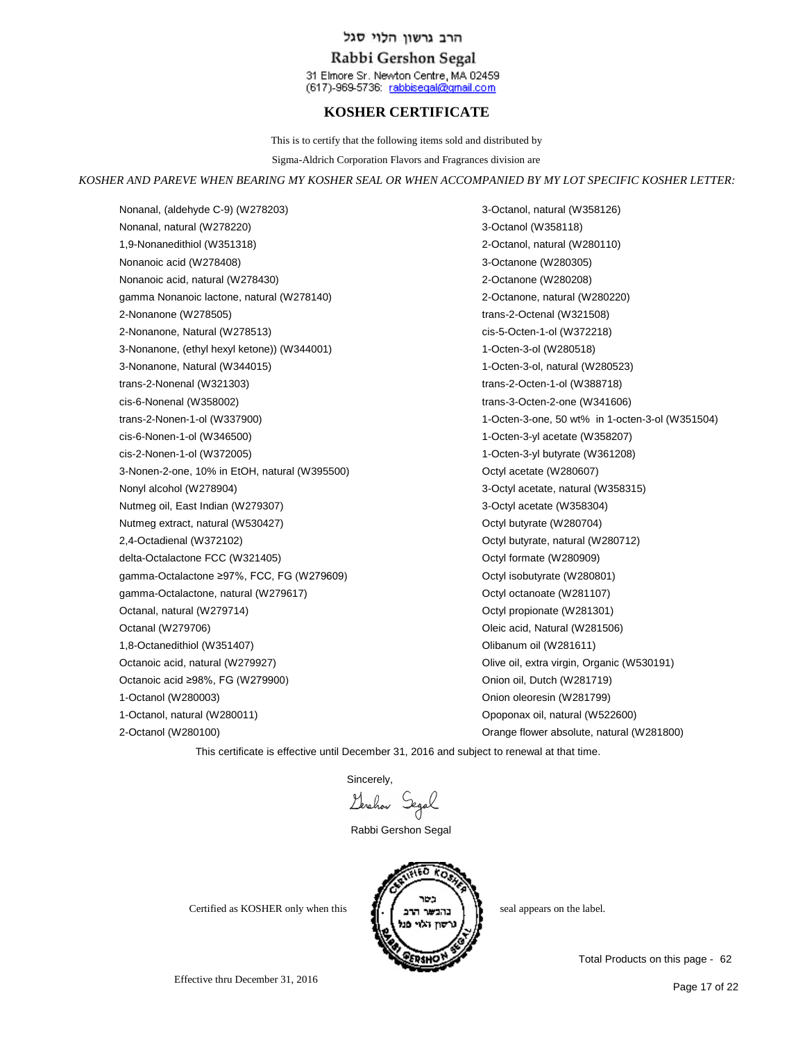## Rabbi Gershon Segal

31 Elmore Sr. Newton Centre, MA 02459 (617)-969-5736: rabbisegal@gmail.com

# **KOSHER CERTIFICATE**

This is to certify that the following items sold and distributed by

Sigma-Aldrich Corporation Flavors and Fragrances division are

#### *KOSHER AND PAREVE WHEN BEARING MY KOSHER SEAL OR WHEN ACCOMPANIED BY MY LOT SPECIFIC KOSHER LETTER:*

Nonanal, (aldehyde C-9) (W278203) Nonanal, natural (W278220) 1,9-Nonanedithiol (W351318) Nonanoic acid (W278408) Nonanoic acid, natural (W278430) gamma Nonanoic lactone, natural (W278140) 2-Nonanone (W278505) 2-Nonanone, Natural (W278513) 3-Nonanone, (ethyl hexyl ketone)) (W344001) 3-Nonanone, Natural (W344015) trans-2-Nonenal (W321303) cis-6-Nonenal (W358002) trans-2-Nonen-1-ol (W337900) cis-6-Nonen-1-ol (W346500) cis-2-Nonen-1-ol (W372005) 3-Nonen-2-one, 10% in EtOH, natural (W395500) Nonyl alcohol (W278904) Nutmeg oil, East Indian (W279307) Nutmeg extract, natural (W530427) 2,4-Octadienal (W372102) delta-Octalactone FCC (W321405) gamma-Octalactone ≥97%, FCC, FG (W279609) gamma-Octalactone, natural (W279617) Octanal, natural (W279714) Octanal (W279706) 1,8-Octanedithiol (W351407) Octanoic acid, natural (W279927) Octanoic acid ≥98%, FG (W279900) 1-Octanol (W280003) 1-Octanol, natural (W280011) 2-Octanol (W280100)

3-Octanol, natural (W358126) 3-Octanol (W358118) 2-Octanol, natural (W280110) 3-Octanone (W280305) 2-Octanone (W280208) 2-Octanone, natural (W280220) trans-2-Octenal (W321508) cis-5-Octen-1-ol (W372218) 1-Octen-3-ol (W280518) 1-Octen-3-ol, natural (W280523) trans-2-Octen-1-ol (W388718) trans-3-Octen-2-one (W341606) 1-Octen-3-one, 50 wt% in 1-octen-3-ol (W351504) 1-Octen-3-yl acetate (W358207) 1-Octen-3-yl butyrate (W361208) Octyl acetate (W280607) 3-Octyl acetate, natural (W358315) 3-Octyl acetate (W358304) Octyl butyrate (W280704) Octyl butyrate, natural (W280712) Octyl formate (W280909) Octyl isobutyrate (W280801) Octyl octanoate (W281107) Octyl propionate (W281301) Oleic acid, Natural (W281506) Olibanum oil (W281611) Olive oil, extra virgin, Organic (W530191) Onion oil, Dutch (W281719) Onion oleoresin (W281799) Opoponax oil, natural (W522600) Orange flower absolute, natural (W281800)

This certificate is effective until December 31, 2016 and subject to renewal at that time.

Sincerely,

Lerchon Segal

Rabbi Gershon Segal



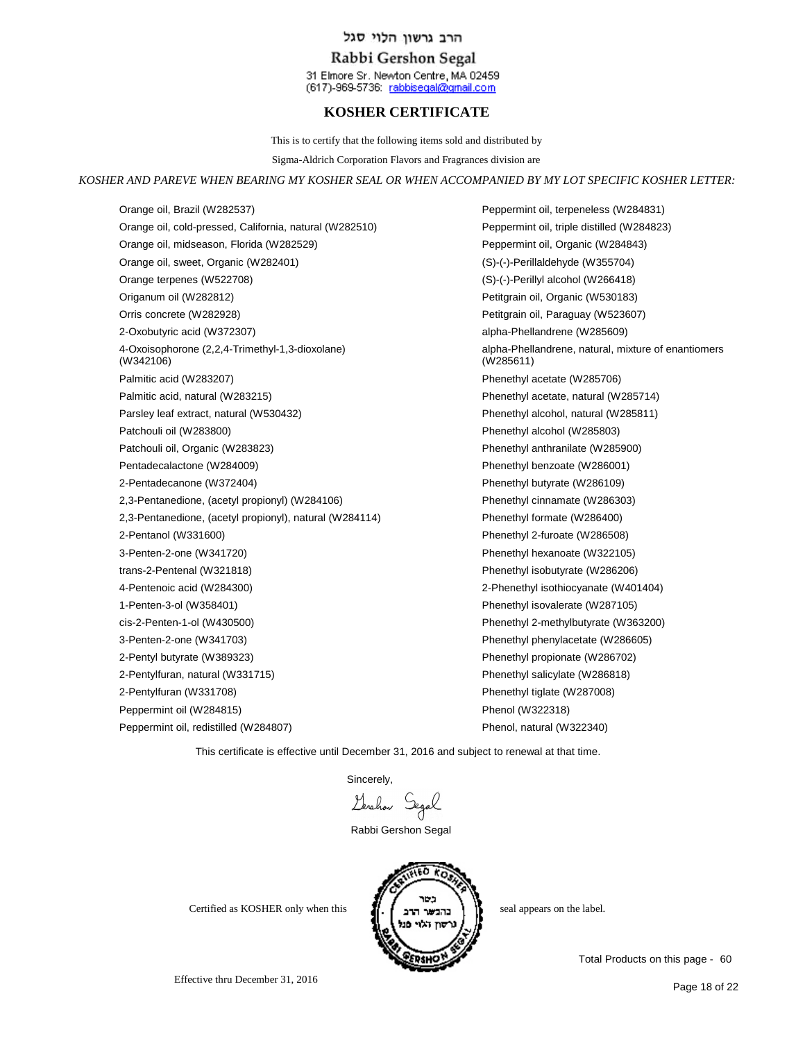## Rabbi Gershon Segal

31 Elmore Sr. Newton Centre, MA 02459 (617)-969-5736: rabbisegal@gmail.com

# **KOSHER CERTIFICATE**

This is to certify that the following items sold and distributed by

Sigma-Aldrich Corporation Flavors and Fragrances division are

#### *KOSHER AND PAREVE WHEN BEARING MY KOSHER SEAL OR WHEN ACCOMPANIED BY MY LOT SPECIFIC KOSHER LETTER:*

Orange oil, Brazil (W282537) Orange oil, cold-pressed, California, natural (W282510) Orange oil, midseason, Florida (W282529) Orange oil, sweet, Organic (W282401) Orange terpenes (W522708) Origanum oil (W282812) Orris concrete (W282928) 2-Oxobutyric acid (W372307) 4-Oxoisophorone (2,2,4-Trimethyl-1,3-dioxolane) (W342106) Palmitic acid (W283207) Palmitic acid, natural (W283215) Parsley leaf extract, natural (W530432) Patchouli oil (W283800) Patchouli oil, Organic (W283823) Pentadecalactone (W284009) 2-Pentadecanone (W372404) 2,3-Pentanedione, (acetyl propionyl) (W284106) 2,3-Pentanedione, (acetyl propionyl), natural (W284114) 2-Pentanol (W331600) 3-Penten-2-one (W341720) trans-2-Pentenal (W321818) 4-Pentenoic acid (W284300) 1-Penten-3-ol (W358401) cis-2-Penten-1-ol (W430500) 3-Penten-2-one (W341703) 2-Pentyl butyrate (W389323) 2-Pentylfuran, natural (W331715) 2-Pentylfuran (W331708) Peppermint oil (W284815) Peppermint oil, redistilled (W284807)

Peppermint oil, terpeneless (W284831) Peppermint oil, triple distilled (W284823) Peppermint oil, Organic (W284843) (S)-(-)-Perillaldehyde (W355704) (S)-(-)-Perillyl alcohol (W266418) Petitgrain oil, Organic (W530183) Petitgrain oil, Paraguay (W523607) alpha-Phellandrene (W285609) alpha-Phellandrene, natural, mixture of enantiomers (W285611) Phenethyl acetate (W285706) Phenethyl acetate, natural (W285714) Phenethyl alcohol, natural (W285811) Phenethyl alcohol (W285803) Phenethyl anthranilate (W285900) Phenethyl benzoate (W286001) Phenethyl butyrate (W286109) Phenethyl cinnamate (W286303) Phenethyl formate (W286400) Phenethyl 2-furoate (W286508) Phenethyl hexanoate (W322105) Phenethyl isobutyrate (W286206) 2-Phenethyl isothiocyanate (W401404) Phenethyl isovalerate (W287105) Phenethyl 2-methylbutyrate (W363200) Phenethyl phenylacetate (W286605) Phenethyl propionate (W286702) Phenethyl salicylate (W286818) Phenethyl tiglate (W287008) Phenol (W322318) Phenol, natural (W322340)

This certificate is effective until December 31, 2016 and subject to renewal at that time.

Sincerely,

Gerchan Segal

Rabbi Gershon Segal



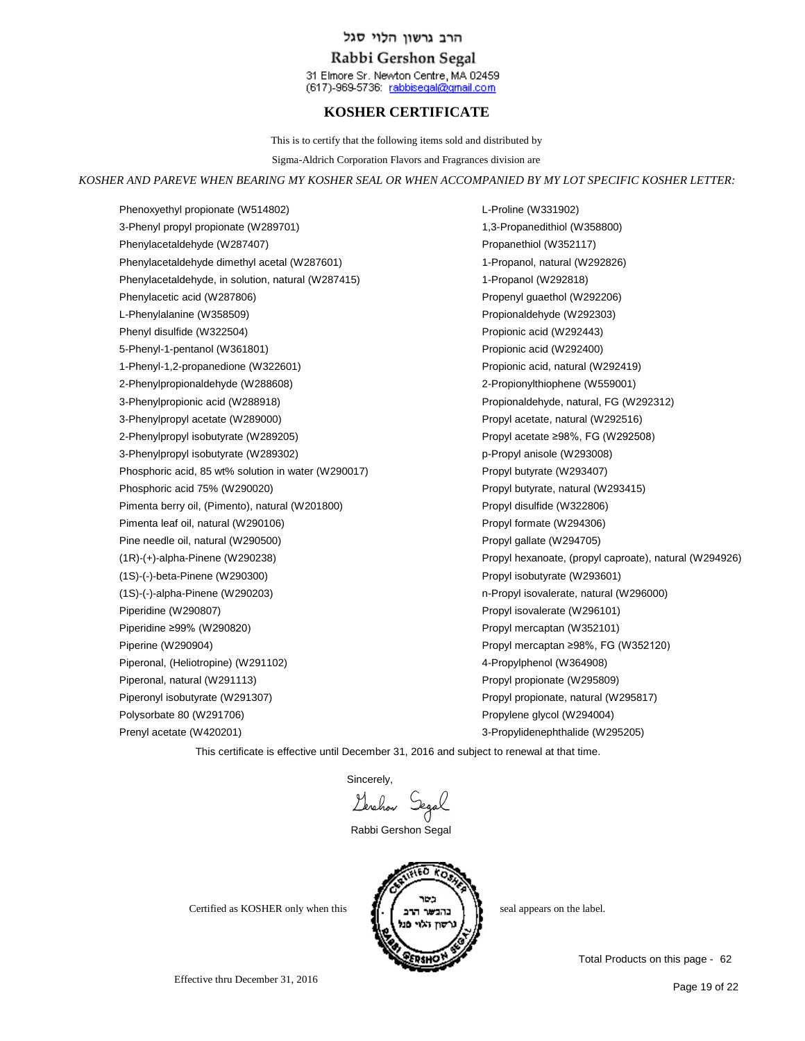### Rabbi Gershon Segal

31 Elmore Sr. Newton Centre, MA 02459 (617)-969-5736: rabbisegal@gmail.com

## **KOSHER CERTIFICATE**

This is to certify that the following items sold and distributed by

Sigma-Aldrich Corporation Flavors and Fragrances division are

#### *KOSHER AND PAREVE WHEN BEARING MY KOSHER SEAL OR WHEN ACCOMPANIED BY MY LOT SPECIFIC KOSHER LETTER:*

Phenoxyethyl propionate (W514802) 3-Phenyl propyl propionate (W289701) Phenylacetaldehyde (W287407) Phenylacetaldehyde dimethyl acetal (W287601) Phenylacetaldehyde, in solution, natural (W287415) Phenylacetic acid (W287806) L-Phenylalanine (W358509) Phenyl disulfide (W322504) 5-Phenyl-1-pentanol (W361801) 1-Phenyl-1,2-propanedione (W322601) 2-Phenylpropionaldehyde (W288608) 3-Phenylpropionic acid (W288918) 3-Phenylpropyl acetate (W289000) 2-Phenylpropyl isobutyrate (W289205) 3-Phenylpropyl isobutyrate (W289302) Phosphoric acid, 85 wt% solution in water (W290017) Phosphoric acid 75% (W290020) Pimenta berry oil, (Pimento), natural (W201800) Pimenta leaf oil, natural (W290106) Pine needle oil, natural (W290500) (1R)-(+)-alpha-Pinene (W290238) (1S)-(-)-beta-Pinene (W290300) (1S)-(-)-alpha-Pinene (W290203) Piperidine (W290807) Piperidine ≥99% (W290820) Piperine (W290904) Piperonal, (Heliotropine) (W291102) Piperonal, natural (W291113) Piperonyl isobutyrate (W291307) Polysorbate 80 (W291706) Prenyl acetate (W420201)

L-Proline (W331902) 1,3-Propanedithiol (W358800) Propanethiol (W352117) 1-Propanol, natural (W292826) 1-Propanol (W292818) Propenyl guaethol (W292206) Propionaldehyde (W292303) Propionic acid (W292443) Propionic acid (W292400) Propionic acid, natural (W292419) 2-Propionylthiophene (W559001) Propionaldehyde, natural, FG (W292312) Propyl acetate, natural (W292516) Propyl acetate ≥98%, FG (W292508) p-Propyl anisole (W293008) Propyl butyrate (W293407) Propyl butyrate, natural (W293415) Propyl disulfide (W322806) Propyl formate (W294306) Propyl gallate (W294705) Propyl hexanoate, (propyl caproate), natural (W294926) Propyl isobutyrate (W293601) n-Propyl isovalerate, natural (W296000) Propyl isovalerate (W296101) Propyl mercaptan (W352101) Propyl mercaptan ≥98%, FG (W352120) 4-Propylphenol (W364908) Propyl propionate (W295809) Propyl propionate, natural (W295817) Propylene glycol (W294004) 3-Propylidenephthalide (W295205)

This certificate is effective until December 31, 2016 and subject to renewal at that time.

Sincerely,

Gerchan Segal

Rabbi Gershon Segal



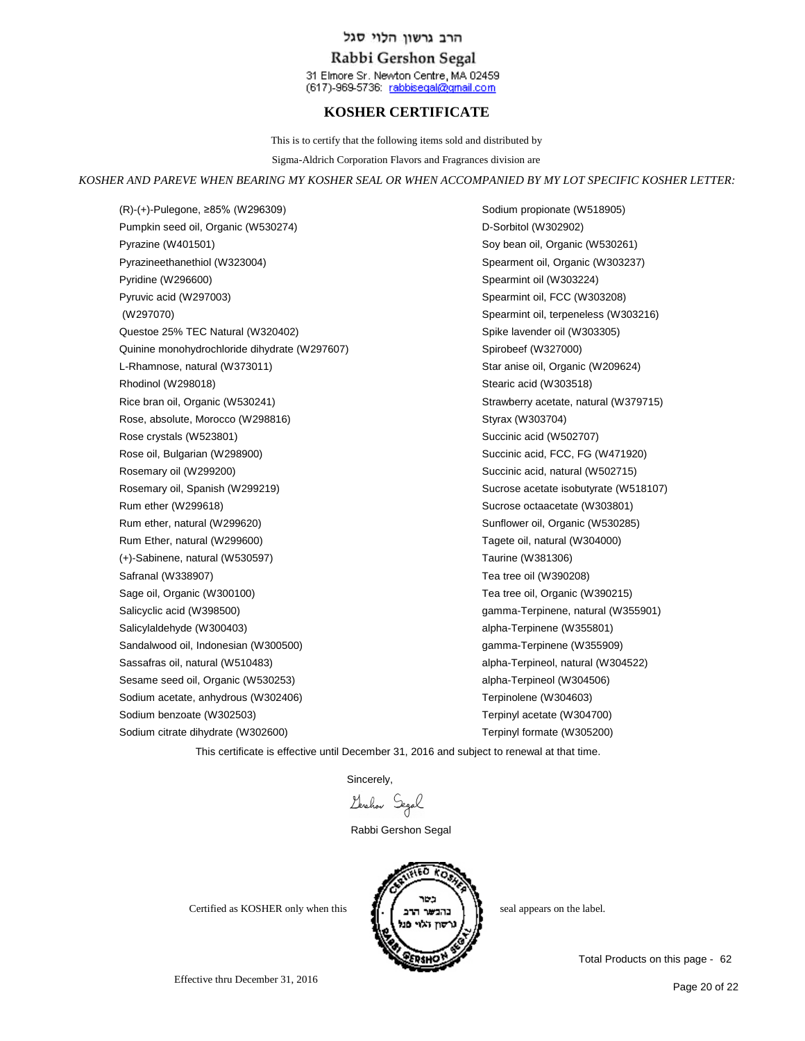### Rabbi Gershon Segal

31 Elmore Sr. Newton Centre, MA 02459 (617)-969-5736: rabbisegal@gmail.com

## **KOSHER CERTIFICATE**

This is to certify that the following items sold and distributed by

Sigma-Aldrich Corporation Flavors and Fragrances division are

#### *KOSHER AND PAREVE WHEN BEARING MY KOSHER SEAL OR WHEN ACCOMPANIED BY MY LOT SPECIFIC KOSHER LETTER:*

(R)-(+)-Pulegone, ≥85% (W296309) Pumpkin seed oil, Organic (W530274) Pyrazine (W401501) Pyrazineethanethiol (W323004) Pyridine (W296600) Pyruvic acid (W297003) (W297070) Questoe 25% TEC Natural (W320402) Quinine monohydrochloride dihydrate (W297607) L-Rhamnose, natural (W373011) Rhodinol (W298018) Rice bran oil, Organic (W530241) Rose, absolute, Morocco (W298816) Rose crystals (W523801) Rose oil, Bulgarian (W298900) Rosemary oil (W299200) Rosemary oil, Spanish (W299219) Rum ether (W299618) Rum ether, natural (W299620) Rum Ether, natural (W299600) (+)-Sabinene, natural (W530597) Safranal (W338907) Sage oil, Organic (W300100) Salicyclic acid (W398500) Salicylaldehyde (W300403) Sandalwood oil, Indonesian (W300500) Sassafras oil, natural (W510483) Sesame seed oil, Organic (W530253) Sodium acetate, anhydrous (W302406) Sodium benzoate (W302503) Sodium citrate dihydrate (W302600)

Sodium propionate (W518905) D-Sorbitol (W302902) Soy bean oil, Organic (W530261) Spearment oil, Organic (W303237) Spearmint oil (W303224) Spearmint oil, FCC (W303208) Spearmint oil, terpeneless (W303216) Spike lavender oil (W303305) Spirobeef (W327000) Star anise oil, Organic (W209624) Stearic acid (W303518) Strawberry acetate, natural (W379715) Styrax (W303704) Succinic acid (W502707) Succinic acid, FCC, FG (W471920) Succinic acid, natural (W502715) Sucrose acetate isobutyrate (W518107) Sucrose octaacetate (W303801) Sunflower oil, Organic (W530285) Tagete oil, natural (W304000) Taurine (W381306) Tea tree oil (W390208) Tea tree oil, Organic (W390215) gamma-Terpinene, natural (W355901) alpha-Terpinene (W355801) gamma-Terpinene (W355909) alpha-Terpineol, natural (W304522) alpha-Terpineol (W304506) Terpinolene (W304603) Terpinyl acetate (W304700) Terpinyl formate (W305200)

This certificate is effective until December 31, 2016 and subject to renewal at that time.

Sincerely,

Lerchon Segal

Rabbi Gershon Segal



Effective thru December 31, 2016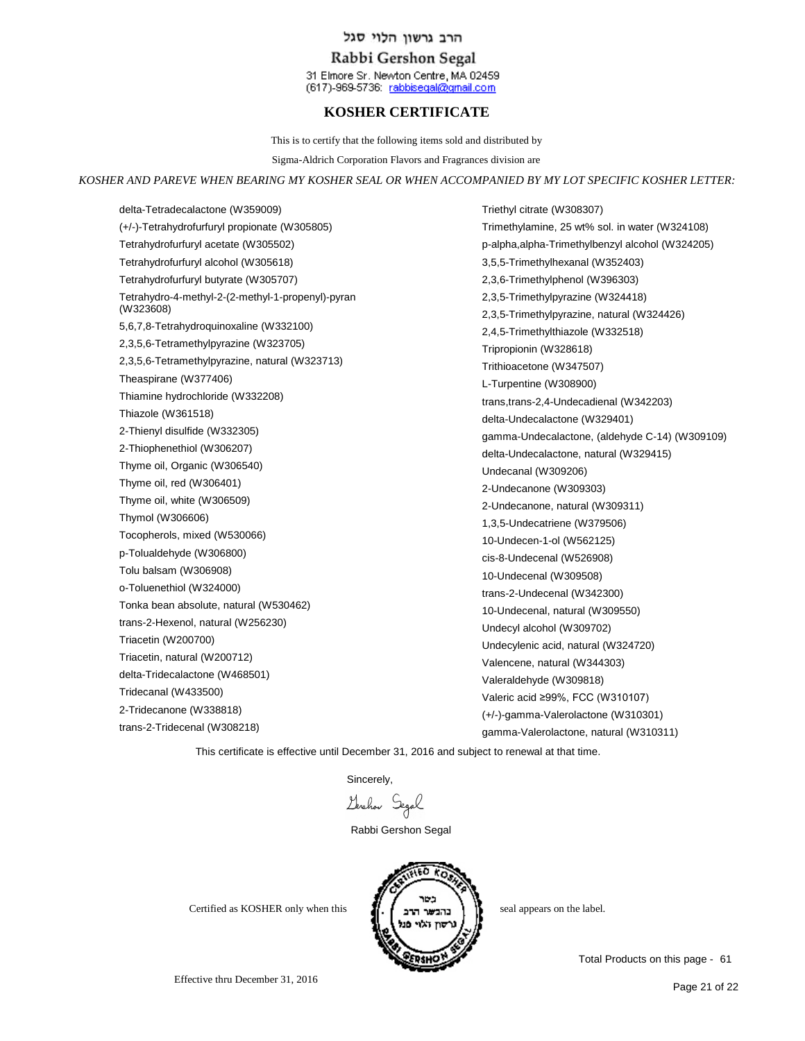## Rabbi Gershon Segal

31 Elmore Sr. Newton Centre, MA 02459 (617)-969-5736: rabbisegal@gmail.com

# **KOSHER CERTIFICATE**

This is to certify that the following items sold and distributed by

Sigma-Aldrich Corporation Flavors and Fragrances division are

#### *KOSHER AND PAREVE WHEN BEARING MY KOSHER SEAL OR WHEN ACCOMPANIED BY MY LOT SPECIFIC KOSHER LETTER:*

delta-Tetradecalactone (W359009) (+/-)-Tetrahydrofurfuryl propionate (W305805) Tetrahydrofurfuryl acetate (W305502) Tetrahydrofurfuryl alcohol (W305618) Tetrahydrofurfuryl butyrate (W305707) Tetrahydro-4-methyl-2-(2-methyl-1-propenyl)-pyran (W323608) 5,6,7,8-Tetrahydroquinoxaline (W332100) 2,3,5,6-Tetramethylpyrazine (W323705) 2,3,5,6-Tetramethylpyrazine, natural (W323713) Theaspirane (W377406) Thiamine hydrochloride (W332208) Thiazole (W361518) 2-Thienyl disulfide (W332305) 2-Thiophenethiol (W306207) Thyme oil, Organic (W306540) Thyme oil, red (W306401) Thyme oil, white (W306509) Thymol (W306606) Tocopherols, mixed (W530066) p-Tolualdehyde (W306800) Tolu balsam (W306908) o-Toluenethiol (W324000) Tonka bean absolute, natural (W530462) trans-2-Hexenol, natural (W256230) Triacetin (W200700) Triacetin, natural (W200712) delta-Tridecalactone (W468501) Tridecanal (W433500) 2-Tridecanone (W338818) trans-2-Tridecenal (W308218)

Triethyl citrate (W308307) Trimethylamine, 25 wt% sol. in water (W324108) p-alpha,alpha-Trimethylbenzyl alcohol (W324205) 3,5,5-Trimethylhexanal (W352403) 2,3,6-Trimethylphenol (W396303) 2,3,5-Trimethylpyrazine (W324418) 2,3,5-Trimethylpyrazine, natural (W324426) 2,4,5-Trimethylthiazole (W332518) Tripropionin (W328618) Trithioacetone (W347507) L-Turpentine (W308900) trans,trans-2,4-Undecadienal (W342203) delta-Undecalactone (W329401) gamma-Undecalactone, (aldehyde C-14) (W309109) delta-Undecalactone, natural (W329415) Undecanal (W309206) 2-Undecanone (W309303) 2-Undecanone, natural (W309311) 1,3,5-Undecatriene (W379506) 10-Undecen-1-ol (W562125) cis-8-Undecenal (W526908) 10-Undecenal (W309508) trans-2-Undecenal (W342300) 10-Undecenal, natural (W309550) Undecyl alcohol (W309702) Undecylenic acid, natural (W324720) Valencene, natural (W344303) Valeraldehyde (W309818) Valeric acid ≥99%, FCC (W310107) (+/-)-gamma-Valerolactone (W310301) gamma-Valerolactone, natural (W310311)

This certificate is effective until December 31, 2016 and subject to renewal at that time.

Sincerely,

Levelow Segal

Rabbi Gershon Segal